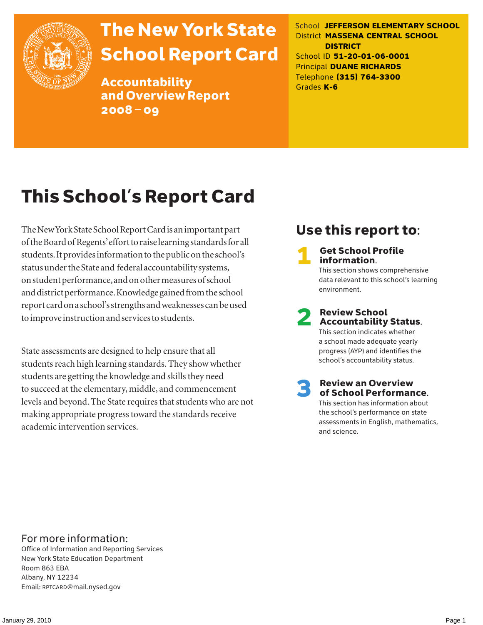

# The New York State School Report Card

Accountability and Overview Report 2008–09

School **JEFFERSON ELEMENTARY SCHOOL** District **MASSENA CENTRAL SCHOOL DISTRICT** School ID **51-20-01-06-0001** Principal **DUANE RICHARDS** Telephone **(315) 764-3300** Grades **K-6**

# This School's Report Card

The New York State School Report Card is an important part of the Board of Regents' effort to raise learning standards for all students. It provides information to the public on the school's status under the State and federal accountability systems, on student performance, and on other measures of school and district performance. Knowledge gained from the school report card on a school's strengths and weaknesses can be used to improve instruction and services to students.

State assessments are designed to help ensure that all students reach high learning standards. They show whether students are getting the knowledge and skills they need to succeed at the elementary, middle, and commencement levels and beyond. The State requires that students who are not making appropriate progress toward the standards receive academic intervention services.

### Use this report to:

**Get School Profile** information. This section shows comprehensive data relevant to this school's learning environment.

# 2 Review School Accountability Status.

This section indicates whether a school made adequate yearly progress (AYP) and identifies the school's accountability status.

3 Review an Overview of School Performance. This section has information about

the school's performance on state assessments in English, mathematics, and science.

### For more information:

Office of Information and Reporting Services New York State Education Department Room 863 EBA Albany, NY 12234 Email: RPTCARD@mail.nysed.gov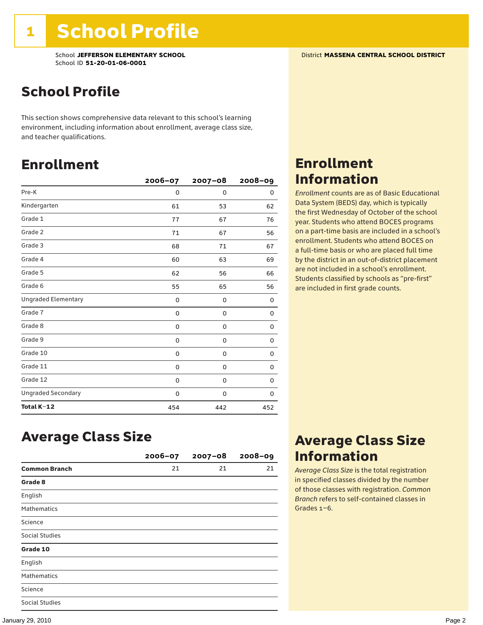School **JEFFERSON ELEMENTARY SCHOOL** District **MASSENA CENTRAL SCHOOL DISTRICT** School ID **51-20-01-06-0001**

### School Profile

This section shows comprehensive data relevant to this school's learning environment, including information about enrollment, average class size, and teacher qualifications.

### Enrollment

|                            | 2006-07 | 2007-08 | $2008 - 09$ |
|----------------------------|---------|---------|-------------|
| Pre-K                      | 0       | 0       | 0           |
| Kindergarten               | 61      | 53      | 62          |
| Grade 1                    | 77      | 67      | 76          |
| Grade 2                    | 71      | 67      | 56          |
| Grade 3                    | 68      | 71      | 67          |
| Grade 4                    | 60      | 63      | 69          |
| Grade 5                    | 62      | 56      | 66          |
| Grade 6                    | 55      | 65      | 56          |
| <b>Ungraded Elementary</b> | 0       | 0       | 0           |
| Grade 7                    | 0       | 0       | 0           |
| Grade 8                    | 0       | 0       | 0           |
| Grade 9                    | 0       | 0       | 0           |
| Grade 10                   | 0       | 0       | 0           |
| Grade 11                   | 0       | 0       | 0           |
| Grade 12                   | 0       | 0       | 0           |
| <b>Ungraded Secondary</b>  | 0       | 0       | 0           |
| Total K-12                 | 454     | 442     | 452         |

### Enrollment Information

*Enrollment* counts are as of Basic Educational Data System (BEDS) day, which is typically the first Wednesday of October of the school year. Students who attend BOCES programs on a part-time basis are included in a school's enrollment. Students who attend BOCES on a full-time basis or who are placed full time by the district in an out-of-district placement are not included in a school's enrollment. Students classified by schools as "pre-first" are included in first grade counts.

### Average Class Size

|                      | $2006 - 07$ | $2007 - 08$ | $2008 - 09$ |
|----------------------|-------------|-------------|-------------|
| <b>Common Branch</b> | 21          | 21          | 21          |
| Grade 8              |             |             |             |
| English              |             |             |             |
| <b>Mathematics</b>   |             |             |             |
| Science              |             |             |             |
| Social Studies       |             |             |             |
| Grade 10             |             |             |             |
| English              |             |             |             |
| <b>Mathematics</b>   |             |             |             |
| Science              |             |             |             |
| Social Studies       |             |             |             |

### Average Class Size Information

*Average Class Size* is the total registration in specified classes divided by the number of those classes with registration. *Common Branch* refers to self-contained classes in Grades 1–6.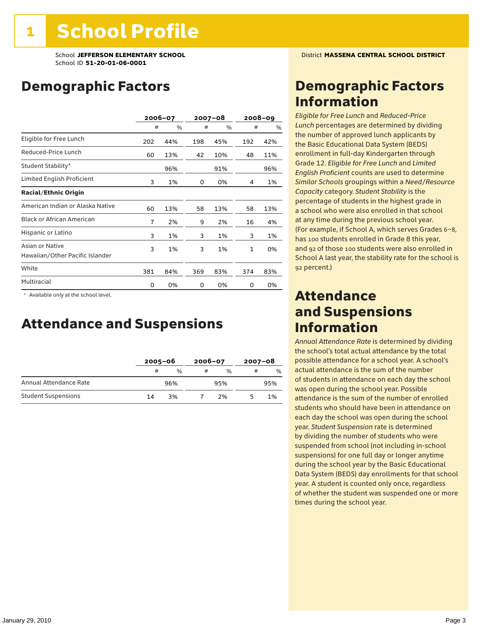School **JEFFERSON ELEMENTARY SCHOOL** District **MASSENA CENTRAL SCHOOL DISTRICT** School ID **51-20-01-06-0001**

### Demographic Factors

|                                                    |     | 2006-07 |     | $2007 - 08$ |              | $2008 - 09$ |
|----------------------------------------------------|-----|---------|-----|-------------|--------------|-------------|
|                                                    | #   | %       | #   | %           | #            | $\%$        |
| Eligible for Free Lunch                            | 202 | 44%     | 198 | 45%         | 192          | 42%         |
| Reduced-Price Lunch                                | 60  | 13%     | 42  | 10%         | 48           | 11%         |
| Student Stability*                                 |     | 96%     |     | 91%         |              | 96%         |
| Limited English Proficient                         | 3   | 1%      | 0   | 0%          | 4            | 1%          |
| <b>Racial/Ethnic Origin</b>                        |     |         |     |             |              |             |
| American Indian or Alaska Native                   | 60  | 13%     | 58  | 13%         | 58           | 13%         |
| <b>Black or African American</b>                   | 7   | 2%      | 9   | 2%          | 16           | 4%          |
| Hispanic or Latino                                 | 3   | 1%      | 3   | 1%          | 3            | 1%          |
| Asian or Native<br>Hawaiian/Other Pacific Islander | 3   | 1%      | 3   | 1%          | $\mathbf{1}$ | 0%          |
| White                                              | 381 | 84%     | 369 | 83%         | 374          | 83%         |
| Multiracial                                        | 0   | 0%      | 0   | 0%          | 0            | 0%          |

\* Available only at the school level.

### Attendance and Suspensions

|                            |    | $2005 - 06$   |   | $2006 - 07$   |   | $2007 - 08$ |  |
|----------------------------|----|---------------|---|---------------|---|-------------|--|
|                            | #  | $\frac{0}{0}$ | # | $\frac{0}{6}$ | # | $\%$        |  |
| Annual Attendance Rate     |    | 96%           |   | 95%           |   | 95%         |  |
| <b>Student Suspensions</b> | 14 | 3%            |   | 2%            |   | 1%          |  |

### Demographic Factors Information

*Eligible for Free Lunch* and *Reduced*-*Price Lunch* percentages are determined by dividing the number of approved lunch applicants by the Basic Educational Data System (BEDS) enrollment in full-day Kindergarten through Grade 12. *Eligible for Free Lunch* and *Limited English Proficient* counts are used to determine *Similar Schools* groupings within a *Need*/*Resource Capacity* category. *Student Stability* is the percentage of students in the highest grade in a school who were also enrolled in that school at any time during the previous school year. (For example, if School A, which serves Grades 6–8, has 100 students enrolled in Grade 8 this year, and 92 of those 100 students were also enrolled in School A last year, the stability rate for the school is 92 percent.)

### Attendance and Suspensions Information

*Annual Attendance Rate* is determined by dividing the school's total actual attendance by the total possible attendance for a school year. A school's actual attendance is the sum of the number of students in attendance on each day the school was open during the school year. Possible attendance is the sum of the number of enrolled students who should have been in attendance on each day the school was open during the school year. *Student Suspension* rate is determined by dividing the number of students who were suspended from school (not including in-school suspensions) for one full day or longer anytime during the school year by the Basic Educational Data System (BEDS) day enrollments for that school year. A student is counted only once, regardless of whether the student was suspended one or more times during the school year.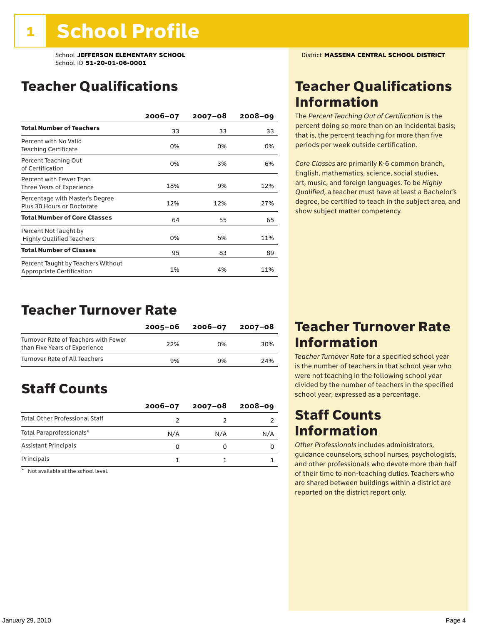### Teacher Qualifications

|                                                                 | $2006 - 07$ | $2007 - 08$ | $2008 - 09$ |
|-----------------------------------------------------------------|-------------|-------------|-------------|
| <b>Total Number of Teachers</b>                                 | 33          | 33          | 33          |
| Percent with No Valid<br>Teaching Certificate                   | 0%          | 0%          | 0%          |
| Percent Teaching Out<br>of Certification                        | 0%          | 3%          | 6%          |
| Percent with Fewer Than<br>Three Years of Experience            | 18%         | 9%          | 12%         |
| Percentage with Master's Degree<br>Plus 30 Hours or Doctorate   | 12%         | 12%         | 27%         |
| <b>Total Number of Core Classes</b>                             | 64          | 55          | 65          |
| Percent Not Taught by<br><b>Highly Qualified Teachers</b>       | 0%          | 5%          | 11%         |
| <b>Total Number of Classes</b>                                  | 95          | 83          | 89          |
| Percent Taught by Teachers Without<br>Appropriate Certification | 1%          | 4%          | 11%         |

### Teacher Turnover Rate

|                                                                       | 2005-06 | 2006-07 | 2007-08 |
|-----------------------------------------------------------------------|---------|---------|---------|
| Turnover Rate of Teachers with Fewer<br>than Five Years of Experience | 22%     | በ%      | 30%     |
| Turnover Rate of All Teachers                                         | 9%      | 9%      | 24%     |

### Staff Counts

|                                       | $2006 - 07$ | $2007 - 08$ | $2008 - 09$ |
|---------------------------------------|-------------|-------------|-------------|
| <b>Total Other Professional Staff</b> |             |             |             |
| Total Paraprofessionals*              | N/A         | N/A         | N/A         |
| <b>Assistant Principals</b>           |             |             |             |
| Principals                            |             |             |             |

\* Not available at the school level.

### Teacher Qualifications Information

The *Percent Teaching Out of Certification* is the percent doing so more than on an incidental basis; that is, the percent teaching for more than five periods per week outside certification.

*Core Classes* are primarily K-6 common branch, English, mathematics, science, social studies, art, music, and foreign languages. To be *Highly Qualified*, a teacher must have at least a Bachelor's degree, be certified to teach in the subject area, and show subject matter competency.

### Teacher Turnover Rate Information

*Teacher Turnover Rate* for a specified school year is the number of teachers in that school year who were not teaching in the following school year divided by the number of teachers in the specified school year, expressed as a percentage.

### Staff Counts **Information**

*Other Professionals* includes administrators, guidance counselors, school nurses, psychologists, and other professionals who devote more than half of their time to non-teaching duties. Teachers who are shared between buildings within a district are reported on the district report only.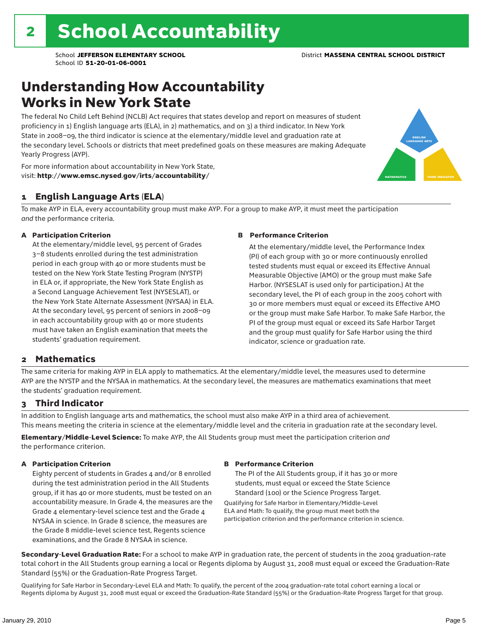### Understanding How Accountability Works in New York State

The federal No Child Left Behind (NCLB) Act requires that states develop and report on measures of student proficiency in 1) English language arts (ELA), in 2) mathematics, and on 3) a third indicator. In New York State in 2008–09, the third indicator is science at the elementary/middle level and graduation rate at the secondary level. Schools or districts that meet predefined goals on these measures are making Adequate Yearly Progress (AYP).



For more information about accountability in New York State, visit: http://www.emsc.nysed.gov/irts/accountability/

#### 1 English Language Arts (ELA)

To make AYP in ELA, every accountability group must make AYP. For a group to make AYP, it must meet the participation *and* the performance criteria.

#### A Participation Criterion

At the elementary/middle level, 95 percent of Grades 3–8 students enrolled during the test administration period in each group with 40 or more students must be tested on the New York State Testing Program (NYSTP) in ELA or, if appropriate, the New York State English as a Second Language Achievement Test (NYSESLAT), or the New York State Alternate Assessment (NYSAA) in ELA. At the secondary level, 95 percent of seniors in 2008–09 in each accountability group with 40 or more students must have taken an English examination that meets the students' graduation requirement.

#### B Performance Criterion

At the elementary/middle level, the Performance Index (PI) of each group with 30 or more continuously enrolled tested students must equal or exceed its Effective Annual Measurable Objective (AMO) or the group must make Safe Harbor. (NYSESLAT is used only for participation.) At the secondary level, the PI of each group in the 2005 cohort with 30 or more members must equal or exceed its Effective AMO or the group must make Safe Harbor. To make Safe Harbor, the PI of the group must equal or exceed its Safe Harbor Target and the group must qualify for Safe Harbor using the third indicator, science or graduation rate.

#### 2 Mathematics

The same criteria for making AYP in ELA apply to mathematics. At the elementary/middle level, the measures used to determine AYP are the NYSTP and the NYSAA in mathematics. At the secondary level, the measures are mathematics examinations that meet the students' graduation requirement.

#### 3 Third Indicator

In addition to English language arts and mathematics, the school must also make AYP in a third area of achievement. This means meeting the criteria in science at the elementary/middle level and the criteria in graduation rate at the secondary level.

Elementary/Middle-Level Science: To make AYP, the All Students group must meet the participation criterion *and* the performance criterion.

#### A Participation Criterion

Eighty percent of students in Grades 4 and/or 8 enrolled during the test administration period in the All Students group, if it has 40 or more students, must be tested on an accountability measure. In Grade 4, the measures are the Grade 4 elementary-level science test and the Grade 4 NYSAA in science. In Grade 8 science, the measures are the Grade 8 middle-level science test, Regents science examinations, and the Grade 8 NYSAA in science.

#### B Performance Criterion

The PI of the All Students group, if it has 30 or more students, must equal or exceed the State Science Standard (100) or the Science Progress Target.

Qualifying for Safe Harbor in Elementary/Middle-Level ELA and Math: To qualify, the group must meet both the participation criterion and the performance criterion in science.

Secondary-Level Graduation Rate: For a school to make AYP in graduation rate, the percent of students in the 2004 graduation-rate total cohort in the All Students group earning a local or Regents diploma by August 31, 2008 must equal or exceed the Graduation-Rate Standard (55%) or the Graduation-Rate Progress Target.

Qualifying for Safe Harbor in Secondary-Level ELA and Math: To qualify, the percent of the 2004 graduation-rate total cohort earning a local or Regents diploma by August 31, 2008 must equal or exceed the Graduation-Rate Standard (55%) or the Graduation-Rate Progress Target for that group.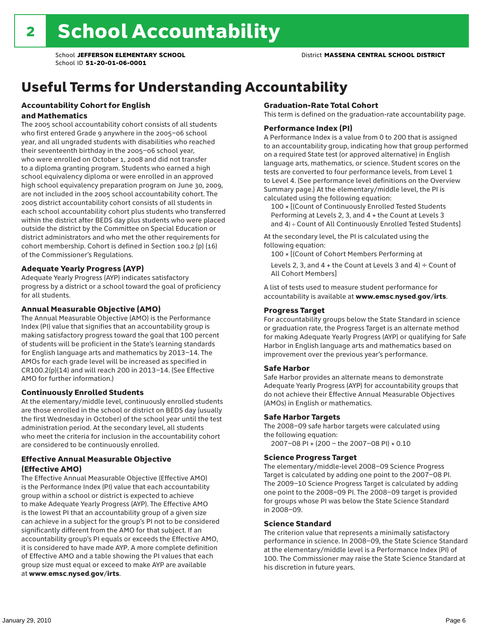# Useful Terms for Understanding Accountability

#### Accountability Cohort for English and Mathematics

The 2005 school accountability cohort consists of all students who first entered Grade 9 anywhere in the 2005–06 school year, and all ungraded students with disabilities who reached their seventeenth birthday in the 2005–06 school year, who were enrolled on October 1, 2008 and did not transfer to a diploma granting program. Students who earned a high school equivalency diploma or were enrolled in an approved high school equivalency preparation program on June 30, 2009, are not included in the 2005 school accountability cohort. The 2005 district accountability cohort consists of all students in each school accountability cohort plus students who transferred within the district after BEDS day plus students who were placed outside the district by the Committee on Special Education or district administrators and who met the other requirements for cohort membership. Cohort is defined in Section 100.2 (p) (16) of the Commissioner's Regulations.

#### Adequate Yearly Progress (AYP)

Adequate Yearly Progress (AYP) indicates satisfactory progress by a district or a school toward the goal of proficiency for all students.

#### Annual Measurable Objective (AMO)

The Annual Measurable Objective (AMO) is the Performance Index (PI) value that signifies that an accountability group is making satisfactory progress toward the goal that 100 percent of students will be proficient in the State's learning standards for English language arts and mathematics by 2013–14. The AMOs for each grade level will be increased as specified in CR100.2(p)(14) and will reach 200 in 2013–14. (See Effective AMO for further information.)

#### Continuously Enrolled Students

At the elementary/middle level, continuously enrolled students are those enrolled in the school or district on BEDS day (usually the first Wednesday in October) of the school year until the test administration period. At the secondary level, all students who meet the criteria for inclusion in the accountability cohort are considered to be continuously enrolled.

#### Effective Annual Measurable Objective (Effective AMO)

The Effective Annual Measurable Objective (Effective AMO) is the Performance Index (PI) value that each accountability group within a school or district is expected to achieve to make Adequate Yearly Progress (AYP). The Effective AMO is the lowest PI that an accountability group of a given size can achieve in a subject for the group's PI not to be considered significantly different from the AMO for that subject. If an accountability group's PI equals or exceeds the Effective AMO, it is considered to have made AYP. A more complete definition of Effective AMO and a table showing the PI values that each group size must equal or exceed to make AYP are available at www.emsc.nysed.gov/irts.

#### Graduation-Rate Total Cohort

This term is defined on the graduation-rate accountability page.

#### Performance Index (PI)

A Performance Index is a value from 0 to 200 that is assigned to an accountability group, indicating how that group performed on a required State test (or approved alternative) in English language arts, mathematics, or science. Student scores on the tests are converted to four performance levels, from Level 1 to Level 4. (See performance level definitions on the Overview Summary page.) At the elementary/middle level, the PI is calculated using the following equation:

100 × [(Count of Continuously Enrolled Tested Students Performing at Levels 2, 3, and 4 + the Count at Levels 3 and 4) ÷ Count of All Continuously Enrolled Tested Students]

At the secondary level, the PI is calculated using the following equation:

100 × [(Count of Cohort Members Performing at

Levels 2, 3, and 4 + the Count at Levels 3 and 4)  $\div$  Count of All Cohort Members]

A list of tests used to measure student performance for accountability is available at www.emsc.nysed.gov/irts.

#### Progress Target

For accountability groups below the State Standard in science or graduation rate, the Progress Target is an alternate method for making Adequate Yearly Progress (AYP) or qualifying for Safe Harbor in English language arts and mathematics based on improvement over the previous year's performance.

#### Safe Harbor

Safe Harbor provides an alternate means to demonstrate Adequate Yearly Progress (AYP) for accountability groups that do not achieve their Effective Annual Measurable Objectives (AMOs) in English or mathematics.

#### Safe Harbor Targets

The 2008–09 safe harbor targets were calculated using the following equation:

2007–08 PI + (200 – the 2007–08 PI) × 0.10

#### Science Progress Target

The elementary/middle-level 2008–09 Science Progress Target is calculated by adding one point to the 2007–08 PI. The 2009–10 Science Progress Target is calculated by adding one point to the 2008–09 PI. The 2008–09 target is provided for groups whose PI was below the State Science Standard in 2008–09.

#### Science Standard

The criterion value that represents a minimally satisfactory performance in science. In 2008–09, the State Science Standard at the elementary/middle level is a Performance Index (PI) of 100. The Commissioner may raise the State Science Standard at his discretion in future years.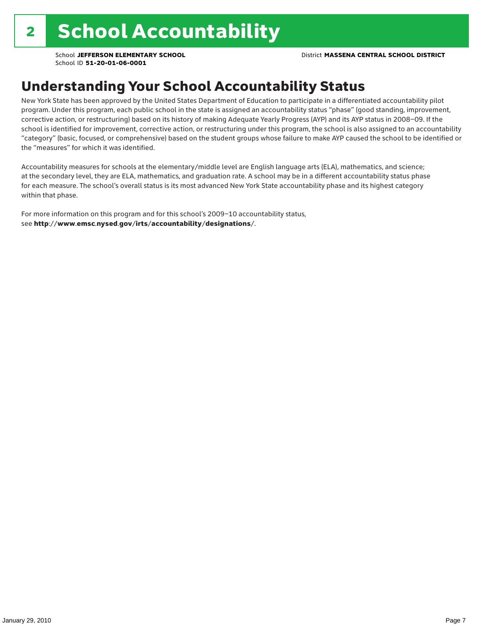### Understanding Your School Accountability Status

New York State has been approved by the United States Department of Education to participate in a differentiated accountability pilot program. Under this program, each public school in the state is assigned an accountability status "phase" (good standing, improvement, corrective action, or restructuring) based on its history of making Adequate Yearly Progress (AYP) and its AYP status in 2008–09. If the school is identified for improvement, corrective action, or restructuring under this program, the school is also assigned to an accountability "category" (basic, focused, or comprehensive) based on the student groups whose failure to make AYP caused the school to be identified or the "measures" for which it was identified.

Accountability measures for schools at the elementary/middle level are English language arts (ELA), mathematics, and science; at the secondary level, they are ELA, mathematics, and graduation rate. A school may be in a different accountability status phase for each measure. The school's overall status is its most advanced New York State accountability phase and its highest category within that phase.

For more information on this program and for this school's 2009–10 accountability status, see http://www.emsc.nysed.gov/irts/accountability/designations/.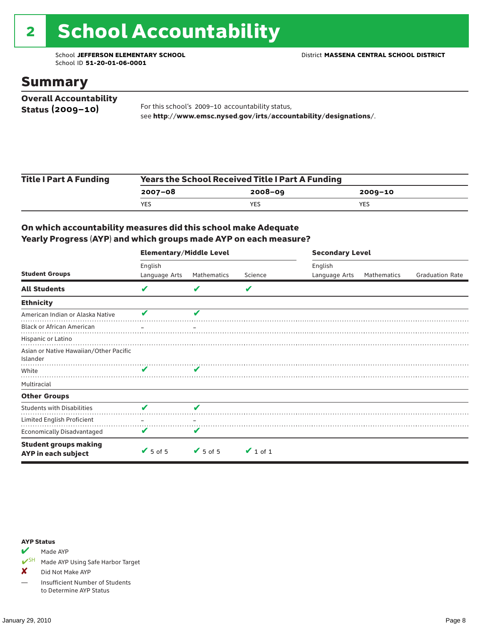# 2 School Accountability

School ID **51-20-01-06-0001**

#### Summary

| <b>Overall Accountability</b> |                                                                  |
|-------------------------------|------------------------------------------------------------------|
| Status $(2009 - 10)$          | For this school's 2009-10 accountability status,                 |
|                               | see http://www.emsc.nysed.gov/irts/accountability/designations/. |

| <b>Title I Part A Funding</b> | <b>Years the School Received Title I Part A Funding</b> |             |             |  |  |  |
|-------------------------------|---------------------------------------------------------|-------------|-------------|--|--|--|
|                               | 2007-08                                                 | $2008 - 09$ | $2009 - 10$ |  |  |  |
|                               | YES                                                     | YES.        | YES         |  |  |  |

#### On which accountability measures did this school make Adequate Yearly Progress (AYP) and which groups made AYP on each measure?

|                                                     | <b>Elementary/Middle Level</b> |                 |               |               | <b>Secondary Level</b> |                        |  |  |  |
|-----------------------------------------------------|--------------------------------|-----------------|---------------|---------------|------------------------|------------------------|--|--|--|
|                                                     | English                        |                 |               | English       |                        |                        |  |  |  |
| <b>Student Groups</b>                               | Language Arts                  | Mathematics     | Science       | Language Arts | Mathematics            | <b>Graduation Rate</b> |  |  |  |
| <b>All Students</b>                                 | V                              |                 | V             |               |                        |                        |  |  |  |
| <b>Ethnicity</b>                                    |                                |                 |               |               |                        |                        |  |  |  |
| American Indian or Alaska Native                    | v                              | v               |               |               |                        |                        |  |  |  |
| <b>Black or African American</b>                    |                                |                 |               |               |                        |                        |  |  |  |
| Hispanic or Latino                                  |                                |                 |               |               |                        |                        |  |  |  |
| Asian or Native Hawaiian/Other Pacific<br>Islander  |                                |                 |               |               |                        |                        |  |  |  |
| White                                               |                                | v               |               |               |                        |                        |  |  |  |
| Multiracial                                         |                                |                 |               |               |                        |                        |  |  |  |
| <b>Other Groups</b>                                 |                                |                 |               |               |                        |                        |  |  |  |
| <b>Students with Disabilities</b>                   | v                              | V               |               |               |                        |                        |  |  |  |
| Limited English Proficient                          |                                |                 |               |               |                        |                        |  |  |  |
| <b>Economically Disadvantaged</b>                   | V                              | v               |               |               |                        |                        |  |  |  |
| <b>Student groups making</b><br>AYP in each subject | $\sqrt{5}$ of 5                | $\sqrt{5}$ of 5 | $\vee$ 1 of 1 |               |                        |                        |  |  |  |

#### AYP Status

Made AYP

✔SH Made AYP Using Safe Harbor Target

X Did Not Make AYP

— Insufficient Number of Students to Determine AYP Status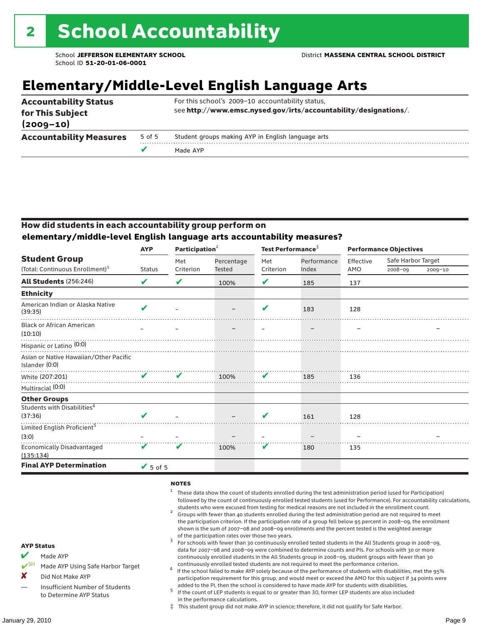### **Elementary/Middle-Level English Language Arts**

| <b>Accountability Status</b><br>for This Subject |        | For this school's 2009-10 accountability status,<br>see http://www.emsc.nysed.gov/irts/accountability/designations/. |
|--------------------------------------------------|--------|----------------------------------------------------------------------------------------------------------------------|
| $(2009 - 10)$                                    |        |                                                                                                                      |
| <b>Accountability Measures</b>                   | 5 of 5 | Student groups making AYP in English language arts                                                                   |
|                                                  |        | Made AYP                                                                                                             |

#### How did students in each accountability group perform on **elementary/middle-level English language arts accountability measures?**

| <b>AYP</b>                   |               |            |                                             |             |                                        |                    |                                          |
|------------------------------|---------------|------------|---------------------------------------------|-------------|----------------------------------------|--------------------|------------------------------------------|
|                              | Met           | Percentage | Met                                         | Performance | Effective                              | Safe Harbor Target |                                          |
|                              |               |            |                                             |             |                                        |                    | 2009-10                                  |
| V                            | V             | 100%       | V                                           | 185         | 137                                    |                    |                                          |
|                              |               |            |                                             |             |                                        |                    |                                          |
| $\boldsymbol{\mathcal{U}}$   |               |            | V                                           | 183         | 128                                    |                    |                                          |
|                              |               |            |                                             |             |                                        |                    |                                          |
|                              |               |            |                                             |             |                                        |                    |                                          |
|                              |               |            |                                             |             |                                        |                    |                                          |
| ✔                            | V             | 100%       | V                                           | 185         | 136                                    |                    |                                          |
|                              |               |            |                                             |             |                                        |                    |                                          |
|                              |               |            |                                             |             |                                        |                    |                                          |
|                              |               |            |                                             |             |                                        |                    |                                          |
| ✔                            |               |            | V                                           | 161         | 128                                    |                    |                                          |
|                              |               |            |                                             |             |                                        |                    |                                          |
|                              |               |            |                                             |             |                                        |                    |                                          |
| V                            | v             | 100%       | V                                           | 180         | 135                                    |                    |                                          |
| $\blacktriangleright$ 5 of 5 |               |            |                                             |             |                                        |                    |                                          |
|                              | <b>Status</b> | Criterion  | Participation <sup>2</sup><br><b>Tested</b> | Criterion   | Test Performance <sup>3</sup><br>Index | AMO                | <b>Performance Objectives</b><br>2008-09 |

#### **NOTES**

- <sup>1</sup> These data show the count of students enrolled during the test administration period (used for Participation) followed by the count of continuously enrolled tested students (used for Performance). For accountability calculations,
- students who were excused from testing for medical reasons are not included in the enrollment count. <sup>2</sup> Groups with fewer than 40 students enrolled during the test administration period are not required to meet the participation criterion. If the participation rate of a group fell below 95 percent in 2008–09, the enrollment shown is the sum of 2007–08 and 2008–09 enrollments and the percent tested is the weighted average
- of the participation rates over those two years.<br><sup>3</sup> For schools with fewer than 30 continuously enrolled tested students in the All Students group in 2008–09, data for 2007–08 and 2008–09 were combined to determine counts and PIs. For schools with 30 or more continuously enrolled students in the All Students group in 2008–09, student groups with fewer than 30
- continuously enrolled tested students are not required to meet the performance criterion. <sup>4</sup> If the school failed to make AYP solely because of the performance of students with disabilities, met the 95% participation requirement for this group, and would meet or exceed the AMO for this subject if 34 points were added to the PI, then the school is considered to have made AYP for students with disabilities.
- $5$  If the count of LEP students is equal to or greater than 30, former LEP students are also included in the performance calculations.
- ‡ This student group did not make AYP in science; therefore, it did not qualify for Safe Harbor.
- $M$  Made AYP
	- Made AYP Using Safe Harbor Target
- X Did Not Make AYP
- Insufficient Number of Students to Determine AYP Status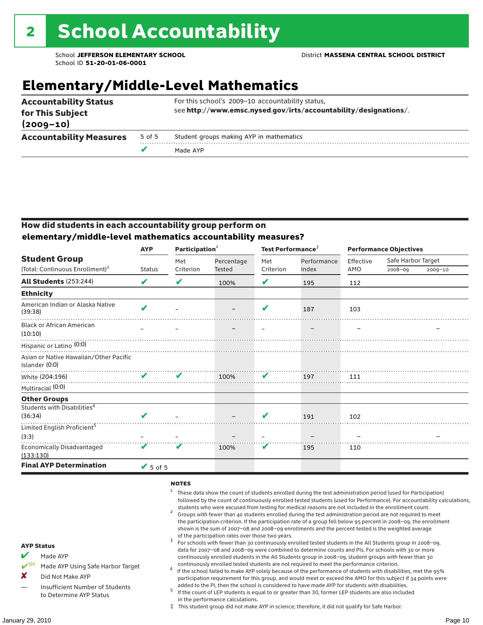# **Elementary/Middle-Level Mathematics**

|                                   | v      | Made AYP                                                         |  |  |  |  |  |
|-----------------------------------|--------|------------------------------------------------------------------|--|--|--|--|--|
| <b>Accountability Measures</b>    | 5 of 5 | Student groups making AYP in mathematics                         |  |  |  |  |  |
| for This Subject<br>$(2009 - 10)$ |        | see http://www.emsc.nysed.gov/irts/accountability/designations/. |  |  |  |  |  |
| <b>Accountability Status</b>      |        | For this school's 2009-10 accountability status,                 |  |  |  |  |  |

#### How did students in each accountability group perform on **elementary/middle-level mathematics accountability measures?**

|                                                          | <b>AYP</b>      |           | Participation <sup>2</sup> |           | Test Performance <sup>3</sup> | <b>Performance Objectives</b> |                    |             |
|----------------------------------------------------------|-----------------|-----------|----------------------------|-----------|-------------------------------|-------------------------------|--------------------|-------------|
| <b>Student Group</b>                                     |                 | Met       | Percentage                 | Met       | Performance                   | Effective                     | Safe Harbor Target |             |
| (Total: Continuous Enrollment) <sup>1</sup>              | <b>Status</b>   | Criterion | Tested                     | Criterion | Index                         | AMO                           | $2008 - 09$        | $2009 - 10$ |
| <b>All Students (253:244)</b>                            | V               | ✔         | 100%                       | ✔         | 195                           | 112                           |                    |             |
| <b>Ethnicity</b>                                         |                 |           |                            |           |                               |                               |                    |             |
| American Indian or Alaska Native<br>(39:38)              | $\mathbf{v}$    |           |                            | V         | 187                           | 103                           |                    |             |
| <b>Black or African American</b><br>(10:10)              |                 |           |                            |           |                               |                               |                    |             |
| Hispanic or Latino <sup>(0:0)</sup>                      |                 |           |                            |           |                               |                               |                    |             |
| Asian or Native Hawaiian/Other Pacific<br>Islander (0:0) |                 |           |                            |           |                               |                               |                    |             |
| White (204:196)                                          | $\mathbf{v}$    | ✔         | 100%                       | V         | 197                           | 111                           |                    |             |
| Multiracial (0:0)                                        |                 |           |                            |           |                               |                               |                    |             |
| <b>Other Groups</b>                                      |                 |           |                            |           |                               |                               |                    |             |
| Students with Disabilities <sup>4</sup>                  |                 |           |                            |           |                               |                               |                    |             |
| (36:34)                                                  | $\mathbf{v}$    |           |                            | V         | 191                           | 102                           |                    |             |
| Limited English Proficient <sup>5</sup>                  |                 |           |                            |           |                               |                               |                    |             |
| (3:3)                                                    |                 |           |                            |           |                               |                               |                    |             |
| <b>Economically Disadvantaged</b><br>(133:130)           | V               |           | 100%                       | V         | 195                           | 110                           |                    |             |
| <b>Final AYP Determination</b>                           | $\sqrt{5}$ of 5 |           |                            |           |                               |                               |                    |             |

#### **NOTES**

- <sup>1</sup> These data show the count of students enrolled during the test administration period (used for Participation) followed by the count of continuously enrolled tested students (used for Performance). For accountability calculations,
- students who were excused from testing for medical reasons are not included in the enrollment count. <sup>2</sup> Groups with fewer than 40 students enrolled during the test administration period are not required to meet the participation criterion. If the participation rate of a group fell below 95 percent in 2008–09, the enrollment shown is the sum of 2007–08 and 2008–09 enrollments and the percent tested is the weighted average
- of the participation rates over those two years.<br><sup>3</sup> For schools with fewer than 30 continuously enrolled tested students in the All Students group in 2008–09, data for 2007–08 and 2008–09 were combined to determine counts and PIs. For schools with 30 or more continuously enrolled students in the All Students group in 2008–09, student groups with fewer than 30
- continuously enrolled tested students are not required to meet the performance criterion. <sup>4</sup> If the school failed to make AYP solely because of the performance of students with disabilities, met the 95% participation requirement for this group, and would meet or exceed the AMO for this subject if 34 points were added to the PI, then the school is considered to have made AYP for students with disabilities.
- $5$  If the count of LEP students is equal to or greater than 30, former LEP students are also included in the performance calculations.
- ‡ This student group did not make AYP in science; therefore, it did not qualify for Safe Harbor.
- Made AYP
	- Made AYP Using Safe Harbor Target
- X Did Not Make AYP
- Insufficient Number of Students to Determine AYP Status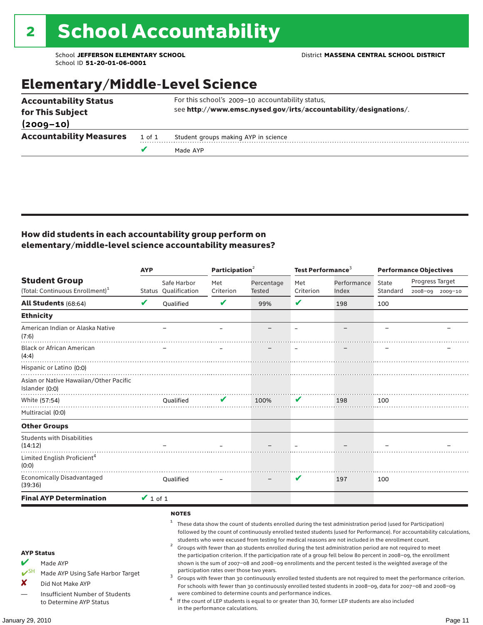### Elementary/Middle-Level Science

|                                |        | Made AYP                                                         |
|--------------------------------|--------|------------------------------------------------------------------|
| <b>Accountability Measures</b> | 1 of 1 | Student groups making AYP in science                             |
| $(2009 - 10)$                  |        |                                                                  |
| for This Subject               |        | see http://www.emsc.nysed.gov/irts/accountability/designations/. |
| <b>Accountability Status</b>   |        | For this school's 2009-10 accountability status,                 |

#### How did students in each accountability group perform on elementary/middle-level science accountability measures?

|                                                                                                                                                                                   | <b>AYP</b>    |                                                     | Participation <sup>2</sup>                                                    |                                                            | Test Performance $3$ |                                                                                                                                                                                                                                                                                                                                                                                                                                                                                                                                                                                                                                                                                                                                                                                                                                                                                                                                                                                                                                                 | <b>Performance Objectives</b> |                 |                 |
|-----------------------------------------------------------------------------------------------------------------------------------------------------------------------------------|---------------|-----------------------------------------------------|-------------------------------------------------------------------------------|------------------------------------------------------------|----------------------|-------------------------------------------------------------------------------------------------------------------------------------------------------------------------------------------------------------------------------------------------------------------------------------------------------------------------------------------------------------------------------------------------------------------------------------------------------------------------------------------------------------------------------------------------------------------------------------------------------------------------------------------------------------------------------------------------------------------------------------------------------------------------------------------------------------------------------------------------------------------------------------------------------------------------------------------------------------------------------------------------------------------------------------------------|-------------------------------|-----------------|-----------------|
| <b>Student Group</b>                                                                                                                                                              |               | Safe Harbor                                         | Met                                                                           | Percentage                                                 | Met                  | Performance                                                                                                                                                                                                                                                                                                                                                                                                                                                                                                                                                                                                                                                                                                                                                                                                                                                                                                                                                                                                                                     | State                         | Progress Target |                 |
| (Total: Continuous Enrollment) <sup>1</sup>                                                                                                                                       |               | <b>Status Oualification</b>                         | Criterion                                                                     | Tested                                                     | Criterion            | Index                                                                                                                                                                                                                                                                                                                                                                                                                                                                                                                                                                                                                                                                                                                                                                                                                                                                                                                                                                                                                                           | Standard                      |                 | 2008-09 2009-10 |
| <b>All Students (68:64)</b>                                                                                                                                                       | V             | Oualified                                           | V                                                                             | 99%                                                        | $\checkmark$         | 198                                                                                                                                                                                                                                                                                                                                                                                                                                                                                                                                                                                                                                                                                                                                                                                                                                                                                                                                                                                                                                             | 100                           |                 |                 |
| <b>Ethnicity</b>                                                                                                                                                                  |               |                                                     |                                                                               |                                                            |                      |                                                                                                                                                                                                                                                                                                                                                                                                                                                                                                                                                                                                                                                                                                                                                                                                                                                                                                                                                                                                                                                 |                               |                 |                 |
| American Indian or Alaska Native<br>(7:6)                                                                                                                                         |               |                                                     |                                                                               |                                                            |                      |                                                                                                                                                                                                                                                                                                                                                                                                                                                                                                                                                                                                                                                                                                                                                                                                                                                                                                                                                                                                                                                 |                               |                 |                 |
| <b>Black or African American</b><br>(4:4)                                                                                                                                         |               |                                                     |                                                                               |                                                            |                      |                                                                                                                                                                                                                                                                                                                                                                                                                                                                                                                                                                                                                                                                                                                                                                                                                                                                                                                                                                                                                                                 |                               |                 |                 |
| Hispanic or Latino (0:0)<br>Asian or Native Hawaiian/Other Pacific<br>Islander (0:0)                                                                                              |               |                                                     |                                                                               |                                                            |                      |                                                                                                                                                                                                                                                                                                                                                                                                                                                                                                                                                                                                                                                                                                                                                                                                                                                                                                                                                                                                                                                 |                               |                 |                 |
| White (57:54)                                                                                                                                                                     |               | Qualified                                           | V                                                                             | 100%                                                       | V                    | 198                                                                                                                                                                                                                                                                                                                                                                                                                                                                                                                                                                                                                                                                                                                                                                                                                                                                                                                                                                                                                                             | 100                           |                 |                 |
| Multiracial (0:0)                                                                                                                                                                 |               |                                                     |                                                                               |                                                            |                      |                                                                                                                                                                                                                                                                                                                                                                                                                                                                                                                                                                                                                                                                                                                                                                                                                                                                                                                                                                                                                                                 |                               |                 |                 |
| <b>Other Groups</b>                                                                                                                                                               |               |                                                     |                                                                               |                                                            |                      |                                                                                                                                                                                                                                                                                                                                                                                                                                                                                                                                                                                                                                                                                                                                                                                                                                                                                                                                                                                                                                                 |                               |                 |                 |
| <b>Students with Disabilities</b><br>(14:12)                                                                                                                                      |               |                                                     |                                                                               |                                                            |                      |                                                                                                                                                                                                                                                                                                                                                                                                                                                                                                                                                                                                                                                                                                                                                                                                                                                                                                                                                                                                                                                 |                               |                 |                 |
| Limited English Proficient <sup>4</sup><br>(0:0)                                                                                                                                  |               |                                                     |                                                                               |                                                            |                      |                                                                                                                                                                                                                                                                                                                                                                                                                                                                                                                                                                                                                                                                                                                                                                                                                                                                                                                                                                                                                                                 |                               |                 |                 |
| <b>Economically Disadvantaged</b><br>(39:36)                                                                                                                                      |               | Qualified                                           |                                                                               |                                                            | V                    | 197                                                                                                                                                                                                                                                                                                                                                                                                                                                                                                                                                                                                                                                                                                                                                                                                                                                                                                                                                                                                                                             | 100                           |                 |                 |
| <b>Final AYP Determination</b>                                                                                                                                                    | $\vee$ 1 of 1 |                                                     |                                                                               |                                                            |                      |                                                                                                                                                                                                                                                                                                                                                                                                                                                                                                                                                                                                                                                                                                                                                                                                                                                                                                                                                                                                                                                 |                               |                 |                 |
| <b>AYP Status</b><br>V<br>Made AYP<br>$V^{\text{SH}}$<br>Made AYP Using Safe Harbor Target<br>x<br>Did Not Make AYP<br>Insufficient Number of Students<br>to Determine AYP Status |               | <b>NOTES</b><br>$\mathbf{1}$<br>$\overline{a}$<br>3 | participation rates over those two years.<br>in the performance calculations. | were combined to determine counts and performance indices. |                      | These data show the count of students enrolled during the test administration period (used for Participation)<br>followed by the count of continuously enrolled tested students (used for Performance). For accountability calculations,<br>students who were excused from testing for medical reasons are not included in the enrollment count.<br>Groups with fewer than 40 students enrolled during the test administration period are not required to meet<br>the participation criterion. If the participation rate of a group fell below 80 percent in 2008-09, the enrollment<br>shown is the sum of 2007-08 and 2008-09 enrollments and the percent tested is the weighted average of the<br>Groups with fewer than 30 continuously enrolled tested students are not required to meet the performance criterion.<br>For schools with fewer than 30 continuously enrolled tested students in 2008-09, data for 2007-08 and 2008-09<br>If the count of LEP students is equal to or greater than 30, former LEP students are also included |                               |                 |                 |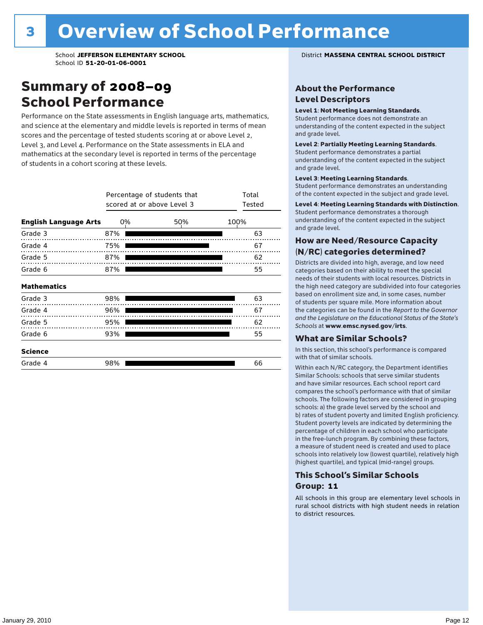### Summary of 2008–09 School Performance

Performance on the State assessments in English language arts, mathematics, and science at the elementary and middle levels is reported in terms of mean scores and the percentage of tested students scoring at or above Level 2, Level 3, and Level 4. Performance on the State assessments in ELA and mathematics at the secondary level is reported in terms of the percentage of students in a cohort scoring at these levels.

|                              |     | Percentage of students that<br>scored at or above Level 3 |      | Total<br>Tested |    |
|------------------------------|-----|-----------------------------------------------------------|------|-----------------|----|
| <b>English Language Arts</b> | 0%  |                                                           | 100% |                 |    |
| Grade 3                      | 87% |                                                           |      |                 | 63 |
| Grade 4<br>.                 | 75% |                                                           |      |                 | 67 |
| Grade 5                      | 87% |                                                           |      |                 | 62 |
| Grade 6                      | 87% |                                                           |      |                 | 55 |
| <b>Mathematics</b>           |     |                                                           |      |                 |    |
| Grade 3                      | 98% |                                                           |      |                 | 63 |
| Grade 4                      | 96% |                                                           |      |                 | 67 |
| Grade 5                      | 95% |                                                           |      |                 | 62 |
| Grade 6                      | 93% |                                                           |      |                 | 55 |
| <b>Science</b>               |     |                                                           |      |                 |    |
| Grade 4                      | 98% |                                                           |      |                 | 66 |

#### School **JEFFERSON ELEMENTARY SCHOOL** District **MASSENA CENTRAL SCHOOL DISTRICT**

#### About the Performance Level Descriptors

#### Level 1: Not Meeting Learning Standards.

Student performance does not demonstrate an understanding of the content expected in the subject and grade level.

#### Level 2: Partially Meeting Learning Standards.

Student performance demonstrates a partial understanding of the content expected in the subject and grade level.

#### Level 3: Meeting Learning Standards.

Student performance demonstrates an understanding of the content expected in the subject and grade level.

#### Level 4: Meeting Learning Standards with Distinction.

Student performance demonstrates a thorough understanding of the content expected in the subject and grade level.

#### How are Need/Resource Capacity (N/RC) categories determined?

Districts are divided into high, average, and low need categories based on their ability to meet the special needs of their students with local resources. Districts in the high need category are subdivided into four categories based on enrollment size and, in some cases, number of students per square mile. More information about the categories can be found in the *Report to the Governor and the Legislature on the Educational Status of the State's Schools* at www.emsc.nysed.gov/irts.

#### What are Similar Schools?

In this section, this school's performance is compared with that of similar schools.

Within each N/RC category, the Department identifies Similar Schools: schools that serve similar students and have similar resources. Each school report card compares the school's performance with that of similar schools. The following factors are considered in grouping schools: a) the grade level served by the school and b) rates of student poverty and limited English proficiency. Student poverty levels are indicated by determining the percentage of children in each school who participate in the free-lunch program. By combining these factors, a measure of student need is created and used to place schools into relatively low (lowest quartile), relatively high (highest quartile), and typical (mid-range) groups.

#### This School's Similar Schools Group: **11**

All schools in this group are elementary level schools in rural school districts with high student needs in relation to district resources.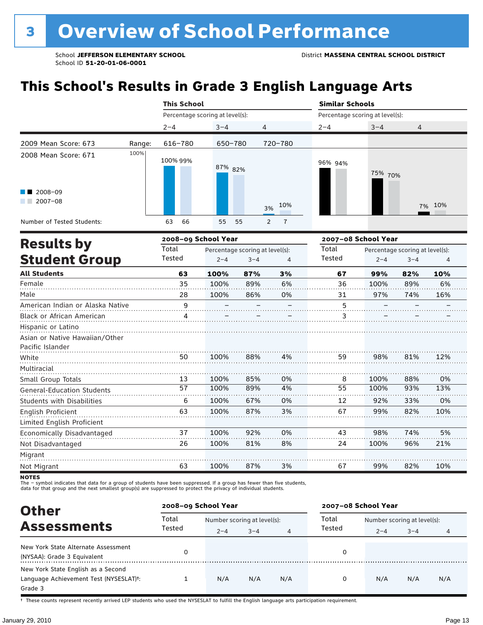# **This School's Results in Grade 3 English Language Arts**

|                                           |        | <b>This School</b>  |                                 |                                                 |                | <b>Similar Schools</b> |                                 |                                            |        |  |  |  |
|-------------------------------------------|--------|---------------------|---------------------------------|-------------------------------------------------|----------------|------------------------|---------------------------------|--------------------------------------------|--------|--|--|--|
|                                           |        |                     | Percentage scoring at level(s): |                                                 |                |                        | Percentage scoring at level(s): |                                            |        |  |  |  |
|                                           |        | $2 - 4$             | $3 - 4$                         | 4                                               |                | $2 - 4$                | $3 - 4$                         | 4                                          |        |  |  |  |
| 2009 Mean Score: 673                      | Range: | 616-780             | 650-780                         |                                                 | 720-780        |                        |                                 |                                            |        |  |  |  |
| 2008 Mean Score: 671                      | 100%   | 100% 99%            | 87% 82%                         |                                                 |                | 96% 94%                | 75% 70%                         |                                            |        |  |  |  |
| $\blacksquare$ 2008-09<br>$2007 - 08$     |        |                     |                                 | 3%                                              | 10%            |                        |                                 |                                            | 7% 10% |  |  |  |
| Number of Tested Students:                |        | 66<br>63            | 55<br>55                        | 2                                               | $\overline{7}$ |                        |                                 |                                            |        |  |  |  |
|                                           |        | 2008-09 School Year |                                 |                                                 |                | 2007-08 School Year    |                                 |                                            |        |  |  |  |
| <b>Results by</b><br><b>Student Group</b> |        | Total<br>Tested     | $2 - 4$                         | Percentage scoring at level(s):<br>$3 - 4$<br>4 |                |                        | $2 - 4$                         | Percentage scoring at level(s):<br>$3 - 4$ | 4      |  |  |  |
| <b>All Students</b>                       |        | 63                  | 100%                            | 87%                                             | 3%             | 67                     | 99%                             | 82%                                        | 10%    |  |  |  |
| Female                                    |        | 35                  | 100%                            | 89%                                             | 6%             | 36                     | 100%                            | 89%                                        | 6%     |  |  |  |

| Female                            | 35 | 100% | 89% | 6% | 36 | 100% | 89% | 6%  |
|-----------------------------------|----|------|-----|----|----|------|-----|-----|
| Male                              | 28 | 100% | 86% | 0% | 31 | 97%  | 74% | 16% |
| American Indian or Alaska Native  | 9  |      |     |    | 5  |      |     |     |
| <b>Black or African American</b>  |    |      |     |    | 3  |      |     |     |
| Hispanic or Latino                |    |      |     |    |    |      |     |     |
| Asian or Native Hawaiian/Other    |    |      |     |    |    |      |     |     |
| Pacific Islander                  |    |      |     |    |    |      |     |     |
| White                             | 50 | 100% | 88% | 4% | 59 | 98%  | 81% | 12% |
| Multiracial                       |    |      |     |    |    |      |     |     |
| Small Group Totals                | 13 | 100% | 85% | 0% | 8  | 100% | 88% | 0%  |
| <b>General-Education Students</b> | 57 | 100% | 89% | 4% | 55 | 100% | 93% | 13% |
| <b>Students with Disabilities</b> | 6  | 100% | 67% | 0% | 12 | 92%  | 33% | 0%  |
| <b>English Proficient</b>         | 63 | 100% | 87% | 3% | 67 | 99%  | 82% | 10% |
| Limited English Proficient        |    |      |     |    |    |      |     |     |
| Economically Disadvantaged        | 37 | 100% | 92% | 0% | 43 | 98%  | 74% | 5%  |
| Not Disadvantaged                 | 26 | 100% | 81% | 8% | 24 | 100% | 96% | 21% |
| Migrant                           |    |      |     |    |    |      |     |     |
| Not Migrant                       | 63 | 100% | 87% | 3% | 67 | 99%  | 82% | 10% |

**NOTES** 

The – symbol indicates that data for a group of students have been suppressed. If a group has fewer than five students,<br>data for that group and the next smallest group(s) are suppressed to protect the privacy of individual

| <b>Other</b>                                                                                         |                 | 2008-09 School Year                    |         |     | 2007-08 School Year |                                        |         |     |
|------------------------------------------------------------------------------------------------------|-----------------|----------------------------------------|---------|-----|---------------------|----------------------------------------|---------|-----|
| <b>Assessments</b>                                                                                   | Total<br>Tested | Number scoring at level(s):<br>$2 - 4$ | $3 - 4$ | 4   | Total<br>Tested     | Number scoring at level(s):<br>$2 - 4$ | $3 - 4$ |     |
| New York State Alternate Assessment<br>(NYSAA): Grade 3 Equivalent                                   |                 |                                        |         |     | 0                   |                                        |         |     |
| New York State English as a Second<br>Language Achievement Test (NYSESLAT) <sup>+</sup> :<br>Grade 3 |                 | N/A                                    | N/A     | N/A | 0                   | N/A                                    | N/A     | N/A |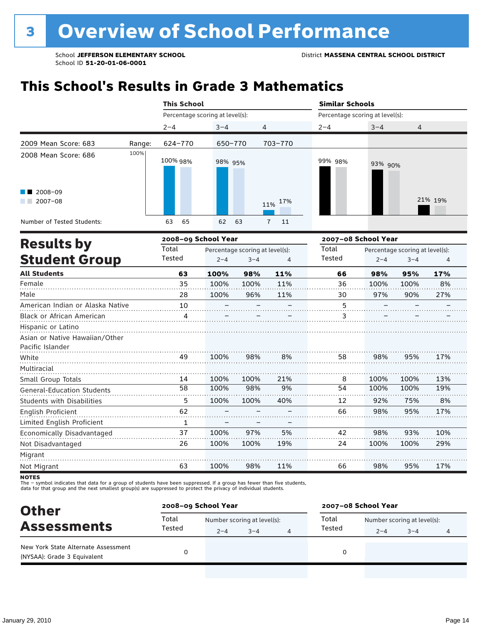# **This School's Results in Grade 3 Mathematics**

|                                                                                                            |        | <b>This School</b>              |                                 |         |                                 |                                 | <b>Similar Schools</b>                                 |         |         |  |  |
|------------------------------------------------------------------------------------------------------------|--------|---------------------------------|---------------------------------|---------|---------------------------------|---------------------------------|--------------------------------------------------------|---------|---------|--|--|
|                                                                                                            |        | Percentage scoring at level(s): |                                 |         |                                 | Percentage scoring at level(s): |                                                        |         |         |  |  |
|                                                                                                            |        | $2 - 4$                         | $3 - 4$                         |         | 4                               | $2 - 4$                         | $3 - 4$                                                | 4       |         |  |  |
| 2009 Mean Score: 683                                                                                       | Range: | 624-770                         | 650-770                         |         | 703-770                         |                                 |                                                        |         |         |  |  |
| 2008 Mean Score: 686<br>2008-09<br>and the control<br>$2007 - 08$<br>a sa Ba<br>Number of Tested Students: | 100%   | 100% 98%<br>65<br>63            | 98% 95%<br>62                   | 63      | 11% 17%<br>$\overline{7}$<br>11 | 99% 98%                         | 93% 90%                                                |         | 21% 19% |  |  |
|                                                                                                            |        |                                 |                                 |         |                                 |                                 |                                                        |         |         |  |  |
| <b>Results by</b>                                                                                          |        | 2008-09 School Year<br>Total    | Percentage scoring at level(s): |         |                                 | Total                           | 2007-08 School Year<br>Percentage scoring at level(s): |         |         |  |  |
| <b>Student Group</b>                                                                                       |        | Tested                          | $2 - 4$                         | $3 - 4$ | 4                               | Tested                          | $2 - 4$                                                | $3 - 4$ | 4       |  |  |
| <b>All Students</b>                                                                                        |        | 63                              | 100%                            | 98%     | 11%                             | 66                              | 98%                                                    | 95%     | 17%     |  |  |
| Female                                                                                                     |        | 35                              | 100%                            | 100%    | 11%                             | 36                              | 100%                                                   | 100%    | 8%      |  |  |
| Male                                                                                                       |        | 28                              | 100%                            | 96%     | 11%                             | 30                              | 97%                                                    | 90%     | 27%     |  |  |
|                                                                                                            |        |                                 |                                 |         |                                 |                                 |                                                        |         |         |  |  |

|                                   |    |      |      |     |    |      | --   | - 179 |
|-----------------------------------|----|------|------|-----|----|------|------|-------|
| American Indian or Alaska Native  | 10 |      |      |     | 5  |      |      |       |
| Black or African American         | 4  |      |      |     | 3  |      |      |       |
| Hispanic or Latino                |    |      |      |     |    |      |      |       |
| Asian or Native Hawaiian/Other    |    |      |      |     |    |      |      |       |
| Pacific Islander                  |    |      |      |     |    |      |      |       |
| White                             | 49 | 100% | 98%  | 8%  | 58 | 98%  | 95%  | 17%   |
| Multiracial                       |    |      |      |     |    |      |      |       |
| Small Group Totals                | 14 | 100% | 100% | 21% | 8  | 100% | 100% | 13%   |
| <b>General-Education Students</b> | 58 | 100% | 98%  | 9%  | 54 | 100% | 100% | 19%   |
| <b>Students with Disabilities</b> | 5  | 100% | 100% | 40% | 12 | 92%  | 75%  | 8%    |
| English Proficient                | 62 |      |      |     | 66 | 98%  | 95%  | 17%   |
| Limited English Proficient        |    |      |      |     |    |      |      |       |
| Economically Disadvantaged        | 37 | 100% | 97%  | 5%  | 42 | 98%  | 93%  | 10%   |
| Not Disadvantaged                 | 26 | 100% | 100% | 19% | 24 | 100% | 100% | 29%   |
| Migrant                           |    |      |      |     |    |      |      |       |
| Not Migrant                       | 63 | 100% | 98%  | 11% | 66 | 98%  | 95%  | 17%   |

**NOTES** 

The – symbol indicates that data for a group of students have been suppressed. If a group has fewer than five students,<br>data for that group and the next smallest group(s) are suppressed to protect the privacy of individual

| <b>Other</b>                                                       | 2008-09 School Year |                             |         |  | 2007-08 School Year |                             |         |   |  |
|--------------------------------------------------------------------|---------------------|-----------------------------|---------|--|---------------------|-----------------------------|---------|---|--|
| <b>Assessments</b>                                                 | Total               | Number scoring at level(s): |         |  | Total               | Number scoring at level(s): |         |   |  |
|                                                                    | Tested              | $2 - 4$                     | $3 - 4$ |  | Tested              | $2 - 4$                     | $3 - 4$ | 4 |  |
| New York State Alternate Assessment<br>(NYSAA): Grade 3 Equivalent |                     |                             |         |  | 0                   |                             |         |   |  |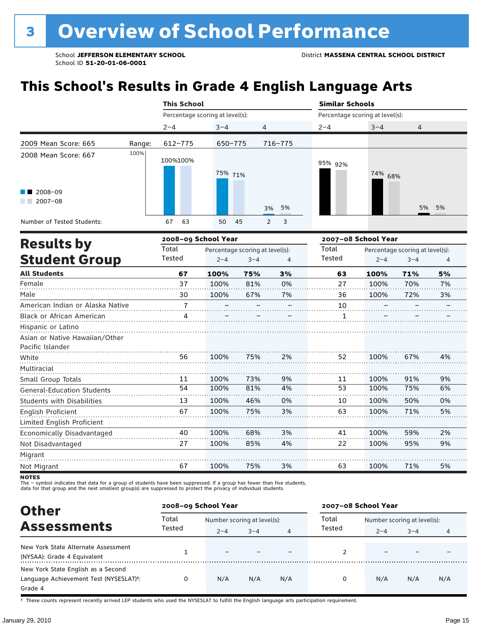# **This School's Results in Grade 4 English Language Arts**

|                                                           |        | <b>This School</b>              |          |                                              | <b>Similar Schools</b>          |         |                |  |
|-----------------------------------------------------------|--------|---------------------------------|----------|----------------------------------------------|---------------------------------|---------|----------------|--|
|                                                           |        | Percentage scoring at level(s): |          |                                              | Percentage scoring at level(s): |         |                |  |
|                                                           |        | $2 - 4$                         | $3 - 4$  | 4                                            | $2 - 4$                         | $3 - 4$ | $\overline{4}$ |  |
| 2009 Mean Score: 665                                      | Range: | 612-775                         | 650-775  | 716-775                                      |                                 |         |                |  |
| 2008 Mean Score: 667<br>$\blacksquare$ 2008-09<br>2007-08 | 100%   | 100%100%                        | 75% 71%  | 3% 5%                                        | 95% 92%                         | 74% 68% | 5% 5%          |  |
| Number of Tested Students:                                |        | 63<br>67                        | 50<br>45 | $\overline{\phantom{a}}$ 3<br>$\overline{2}$ |                                 |         |                |  |
| Deenlas ku                                                |        | 2008-09 School Year             |          |                                              | 2007-08 School Year             |         |                |  |

| <b>Results by</b>                 |                | 2008–09 School Year | 2007–08 School Year             |    |        |         |                                 |    |
|-----------------------------------|----------------|---------------------|---------------------------------|----|--------|---------|---------------------------------|----|
|                                   | Total          |                     | Percentage scoring at level(s): |    | Total  |         | Percentage scoring at level(s): |    |
| <b>Student Group</b>              | Tested         | $2 - 4$             | $3 - 4$                         | 4  | Tested | $2 - 4$ | $3 - 4$                         | 4  |
| <b>All Students</b>               | 67             | 100%                | 75%                             | 3% | 63     | 100%    | 71%                             | 5% |
| Female                            | 37             | 100%                | 81%                             | 0% | 27     | 100%    | 70%                             | 7% |
| Male                              | 30             | 100%                | 67%                             | 7% | 36     | 100%    | 72%                             | 3% |
| American Indian or Alaska Native  | $\overline{7}$ |                     |                                 |    | 10     |         |                                 |    |
| Black or African American         | 4              |                     |                                 |    | 1      |         |                                 |    |
| Hispanic or Latino                |                |                     |                                 |    |        |         |                                 |    |
| Asian or Native Hawaiian/Other    |                |                     |                                 |    |        |         |                                 |    |
| Pacific Islander                  |                |                     |                                 |    |        |         |                                 |    |
| White                             | 56             | 100%                | 75%                             | 2% | 52     | 100%    | 67%                             | 4% |
| Multiracial                       |                |                     |                                 |    |        |         |                                 |    |
| Small Group Totals                | 11             | 100%                | 73%                             | 9% | 11     | 100%    | 91%                             | 9% |
| <b>General-Education Students</b> | 54             | 100%                | 81%                             | 4% | 53     | 100%    | 75%                             | 6% |
| <b>Students with Disabilities</b> | 13             | 100%                | 46%                             | 0% | 10     | 100%    | 50%                             | 0% |
| English Proficient                | 67             | 100%                | 75%                             | 3% | 63     | 100%    | 71%                             | 5% |
| Limited English Proficient        |                |                     |                                 |    |        |         |                                 |    |
| Economically Disadvantaged        | 40             | 100%                | 68%                             | 3% | 41     | 100%    | 59%                             | 2% |
| Not Disadvantaged                 | 27             | 100%                | 85%                             | 4% | 22     | 100%    | 95%                             | 9% |
| Migrant                           |                |                     |                                 |    |        |         |                                 |    |
| Not Migrant                       | 67             | 100%                | 75%                             | 3% | 63     | 100%    | 71%                             | 5% |
|                                   |                |                     |                                 |    |        |         |                                 |    |

NOTES<br>The – symbol indicates that data for a group of students have been suppressed. If a group has fewer than five students,<br>data for that group and the next smallest group(s) are suppressed to protect the privacy of indi

| <b>Other</b>                                                                                         | 2008-09 School Year |                          |                             |     | 2007-08 School Year |                             |         |     |
|------------------------------------------------------------------------------------------------------|---------------------|--------------------------|-----------------------------|-----|---------------------|-----------------------------|---------|-----|
|                                                                                                      | Total               |                          | Number scoring at level(s): |     |                     | Number scoring at level(s): |         |     |
| <b>Assessments</b>                                                                                   | Tested              | $2 - 4$                  | $3 - 4$                     | 4   | Tested              | $2 - 4$                     | $3 - 4$ | 4   |
| New York State Alternate Assessment<br>(NYSAA): Grade 4 Equivalent                                   |                     | $\overline{\phantom{0}}$ |                             |     | 2                   |                             |         |     |
| New York State English as a Second<br>Language Achievement Test (NYSESLAT) <sup>+</sup> :<br>Grade 4 |                     | N/A                      | N/A                         | N/A | 0                   | N/A                         | N/A     | N/A |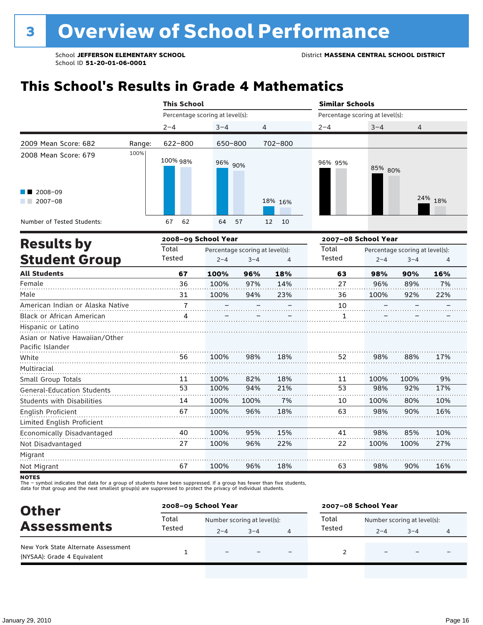# **This School's Results in Grade 4 Mathematics**

|                                                                                                                                                                                                                                                                                                   |        | <b>This School</b>              |          |                | <b>Similar Schools</b>          |         |         |
|---------------------------------------------------------------------------------------------------------------------------------------------------------------------------------------------------------------------------------------------------------------------------------------------------|--------|---------------------------------|----------|----------------|---------------------------------|---------|---------|
|                                                                                                                                                                                                                                                                                                   |        | Percentage scoring at level(s): |          |                | Percentage scoring at level(s): |         |         |
|                                                                                                                                                                                                                                                                                                   |        | $2 - 4$                         | $3 - 4$  | $\overline{4}$ | $2 - 4$                         | $3 - 4$ | 4       |
| 2009 Mean Score: 682                                                                                                                                                                                                                                                                              | Range: | 622-800                         | 650-800  | 702-800        |                                 |         |         |
| 2008 Mean Score: 679<br>$\blacksquare$ 2008-09<br>2007-08<br><b>The Contract of the Contract of the Contract of the Contract of the Contract of the Contract of the Contract of the Contract of the Contract of the Contract of the Contract of the Contract of the Contract of The Contract </b> | 100%   | 100% 98%                        | 96% 90%  | 18% 16%        | 96% 95%                         | 85% 80% | 24% 18% |
| Number of Tested Students:                                                                                                                                                                                                                                                                        |        | 62<br>67                        | 64<br>57 | 12 10          |                                 |         |         |
|                                                                                                                                                                                                                                                                                                   |        |                                 |          |                |                                 |         |         |

| <b>Results by</b>                 |                | 2008-09 School Year |                                 |     | 2007-08 School Year |         |                                 |     |  |  |
|-----------------------------------|----------------|---------------------|---------------------------------|-----|---------------------|---------|---------------------------------|-----|--|--|
|                                   | Total          |                     | Percentage scoring at level(s): |     | Total               |         | Percentage scoring at level(s): |     |  |  |
| <b>Student Group</b>              | Tested         | $2 - 4$             | $3 - 4$                         | 4   | Tested              | $2 - 4$ | $3 - 4$                         | 4   |  |  |
| <b>All Students</b>               | 67             | 100%                | 96%                             | 18% | 63                  | 98%     | 90%                             | 16% |  |  |
| Female                            | 36             | 100%                | 97%                             | 14% | 27                  | 96%     | 89%                             | 7%  |  |  |
| Male                              | 31             | 100%                | 94%                             | 23% | 36                  | 100%    | 92%                             | 22% |  |  |
| American Indian or Alaska Native  | $\overline{7}$ |                     |                                 |     | 10                  |         |                                 |     |  |  |
| <b>Black or African American</b>  | 4              |                     |                                 |     | 1                   |         |                                 |     |  |  |
| Hispanic or Latino                |                |                     |                                 |     |                     |         |                                 |     |  |  |
| Asian or Native Hawaiian/Other    |                |                     |                                 |     |                     |         |                                 |     |  |  |
| Pacific Islander                  |                |                     |                                 |     |                     |         |                                 |     |  |  |
| White                             | 56             | 100%                | 98%                             | 18% | 52                  | 98%     | 88%                             | 17% |  |  |
| Multiracial                       |                |                     |                                 |     |                     |         |                                 |     |  |  |
| Small Group Totals                | 11             | 100%                | 82%                             | 18% | 11                  | 100%    | 100%                            | 9%  |  |  |
| <b>General-Education Students</b> | 53             | 100%                | 94%                             | 21% | 53                  | 98%     | 92%                             | 17% |  |  |
| <b>Students with Disabilities</b> | 14             | 100%                | 100%                            | 7%  | 10                  | 100%    | 80%                             | 10% |  |  |
| <b>English Proficient</b>         | 67             | 100%                | 96%                             | 18% | 63                  | 98%     | 90%                             | 16% |  |  |
| Limited English Proficient        |                |                     |                                 |     |                     |         |                                 |     |  |  |
| Economically Disadvantaged        | 40             | 100%                | 95%                             | 15% | 41                  | 98%     | 85%                             | 10% |  |  |
| Not Disadvantaged                 | 27             | 100%                | 96%                             | 22% | 22                  | 100%    | 100%                            | 27% |  |  |
| Migrant                           |                |                     |                                 |     |                     |         |                                 |     |  |  |
| Not Migrant                       | 67             | 100%                | 96%                             | 18% | 63                  | 98%     | 90%                             | 16% |  |  |

**NOTES** 

The – symbol indicates that data for a group of students have been suppressed. If a group has fewer than five students,<br>data for that group and the next smallest group(s) are suppressed to protect the privacy of individual

| <b>Other</b>                                                       | 2008-09 School Year |                             |         |  | 2007-08 School Year                  |         |                          |   |  |
|--------------------------------------------------------------------|---------------------|-----------------------------|---------|--|--------------------------------------|---------|--------------------------|---|--|
| <b>Assessments</b>                                                 | Total               | Number scoring at level(s): |         |  | Total<br>Number scoring at level(s): |         |                          |   |  |
|                                                                    | Tested              | $2 - 4$                     | $3 - 4$ |  | Tested                               | $2 - 4$ | $3 - 4$                  | 4 |  |
| New York State Alternate Assessment<br>(NYSAA): Grade 4 Equivalent |                     |                             |         |  |                                      |         | $\overline{\phantom{0}}$ |   |  |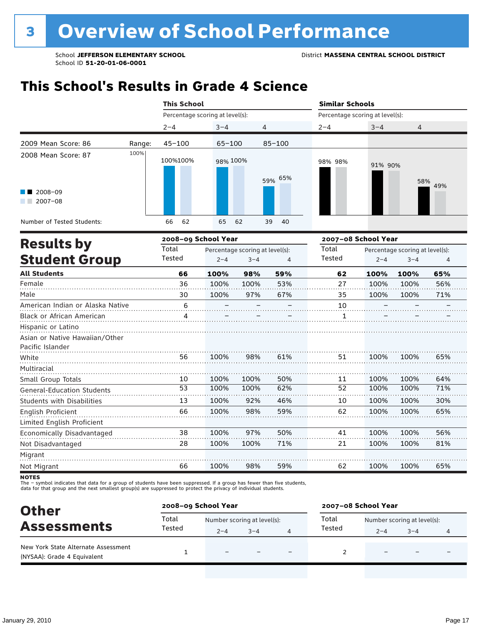### **This School's Results in Grade 4 Science**

|                                                  |        | <b>This School</b>              |            |                                 |            | <b>Similar Schools</b>          |         |                                 |                        |  |
|--------------------------------------------------|--------|---------------------------------|------------|---------------------------------|------------|---------------------------------|---------|---------------------------------|------------------------|--|
|                                                  |        | Percentage scoring at level(s): |            |                                 |            | Percentage scoring at level(s): |         |                                 |                        |  |
|                                                  |        | $2 - 4$                         | $3 - 4$    | 4                               |            | $2 - 4$                         | $3 - 4$ | 4                               |                        |  |
| 2009 Mean Score: 86                              | Range: | $45 - 100$                      | $65 - 100$ |                                 | $85 - 100$ |                                 |         |                                 |                        |  |
| 2008 Mean Score: 87                              | 100%   | 100%100%                        | 98% 100%   |                                 | 59% 65%    | 98% 98%                         | 91% 90% | 58%                             | 49%                    |  |
| $\blacksquare$ 2008-09<br>$2007 - 08$<br>a sa sa |        |                                 |            |                                 |            |                                 |         |                                 |                        |  |
| Number of Tested Students:                       |        | 62<br>66                        | 65         | 62                              | 39<br>40   |                                 |         |                                 |                        |  |
|                                                  |        | 2008-09 School Year             |            |                                 |            | 2007-08 School Year             |         |                                 |                        |  |
| <b>Results by</b>                                |        | Total                           |            | Percentage scoring at level(s): |            | Total                           |         | Percentage scoring at level(s): | 4<br>65%<br>56%<br>71% |  |
| <b>Student Group</b>                             |        | Tested                          | $2 - 4$    | $3 - 4$                         | 4          | Tested                          | $2 - 4$ | $3 - 4$                         |                        |  |
| <b>All Students</b>                              |        | 66                              | 100%       | 98%                             | 59%        | 62                              | 100%    | 100%                            |                        |  |
| Female                                           |        | 36                              | 100%       | 100%                            | 53%        | 27                              | 100%    | 100%                            |                        |  |
| Male                                             |        | 30                              | 100%       | 97%                             | 67%        | 35                              | 100%    | 100%                            |                        |  |
| American Indian or Alaska Native                 |        | 6                               |            |                                 |            | 10                              |         |                                 |                        |  |
| <b>Black or African American</b>                 |        | Δ                               |            |                                 |            |                                 |         |                                 |                        |  |
| Hicpanic or Latino                               |        |                                 |            |                                 |            |                                 |         |                                 |                        |  |

| Hispanic or Latino                |    |      |      |     |    |      |      |     |
|-----------------------------------|----|------|------|-----|----|------|------|-----|
| Asian or Native Hawaiian/Other    |    |      |      |     |    |      |      |     |
| Pacific Islander                  |    |      |      |     |    |      |      |     |
| White                             | 56 | 100% | 98%  | 61% | 51 | 100% | 100% | 65% |
| Multiracial                       |    |      |      |     |    |      |      |     |
| Small Group Totals                | 10 | 100% | 100% | 50% | 11 | 100% | 100% | 64% |
| <b>General-Education Students</b> | 53 | 100% | 100% | 62% | 52 | 100% | 100% | 71% |
| <b>Students with Disabilities</b> | 13 | 100% | 92%  | 46% | 10 | 100% | 100% | 30% |
| English Proficient                | 66 | 100% | 98%  | 59% | 62 | 100% | 100% | 65% |
| Limited English Proficient        |    |      |      |     |    |      |      |     |
| Economically Disadvantaged        | 38 | 100% | 97%  | 50% | 41 | 100% | 100% | 56% |
| Not Disadvantaged                 | 28 | 100% | 100% | 71% | 21 | 100% | 100% | 81% |
| Migrant                           |    |      |      |     |    |      |      |     |
| Not Migrant                       | 66 | 100% | 98%  | 59% | 62 | 100% | 100% | 65% |

**NOTES** 

The – symbol indicates that data for a group of students have been suppressed. If a group has fewer than five students,<br>data for that group and the next smallest group(s) are suppressed to protect the privacy of individual

| <b>Other</b>                                                       | 2008-09 School Year |                             |         |                          | 2007-08 School Year                  |                          |                          |   |  |
|--------------------------------------------------------------------|---------------------|-----------------------------|---------|--------------------------|--------------------------------------|--------------------------|--------------------------|---|--|
|                                                                    | Total               | Number scoring at level(s): |         |                          | Total<br>Number scoring at level(s): |                          |                          |   |  |
| <b>Assessments</b>                                                 | Tested              | $2 - 4$                     | $3 - 4$ |                          | Tested                               | $2 - 4$                  | $3 - 4$                  | 4 |  |
| New York State Alternate Assessment<br>(NYSAA): Grade 4 Equivalent |                     | $\overline{\phantom{0}}$    |         | $\overline{\phantom{0}}$ |                                      | $\overline{\phantom{0}}$ | $\overline{\phantom{0}}$ |   |  |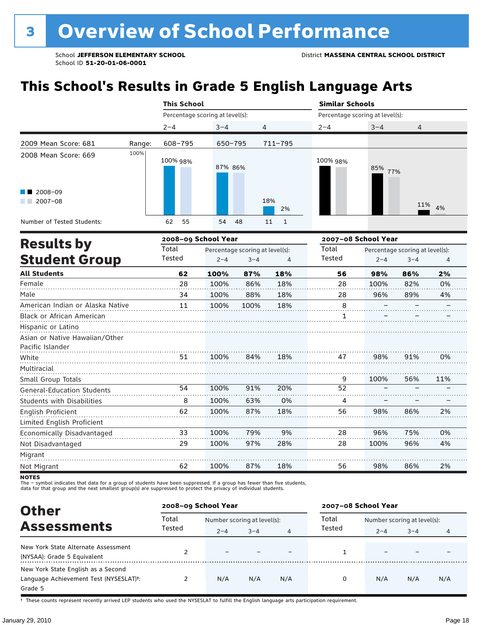# **This School's Results in Grade 5 English Language Arts**

|                                                           |        | <b>This School</b>                               |          |                            |                                           | <b>Similar Schools</b>                        |                |  |  |  |
|-----------------------------------------------------------|--------|--------------------------------------------------|----------|----------------------------|-------------------------------------------|-----------------------------------------------|----------------|--|--|--|
|                                                           |        | Percentage scoring at level(s):                  |          |                            |                                           |                                               |                |  |  |  |
|                                                           |        | $2 - 4$                                          | $3 - 4$  | 4                          | $2 - 4$                                   | $3 - 4$                                       | $\overline{4}$ |  |  |  |
| 2009 Mean Score: 681                                      | Range: | 608-795                                          | 650-795  | 711-795                    |                                           | Percentage scoring at level(s):<br>85%<br>77% |                |  |  |  |
| 2008 Mean Score: 669<br>$\blacksquare$ 2008-09<br>2007-08 | 100%   | 100% 98%                                         | 87% 86%  | 18%                        | 100% 98%                                  |                                               |                |  |  |  |
| Number of Tested Students:                                |        | 62<br>55                                         | 54<br>48 | 2%<br>11<br>$\overline{1}$ |                                           |                                               | 11% 4%         |  |  |  |
|                                                           |        | $\sim$ $\sim$ $\sim$ $\sim$ $\sim$ $\sim$ $\sim$ |          |                            | $\sim$ $\sim$ $\sim$ $\sim$ $\sim$ $\sim$ |                                               |                |  |  |  |

| <b>Results by</b>                 |        | 2008-09 School Year |                                 |     | 2007-08 School Year |         |                                 |     |  |  |
|-----------------------------------|--------|---------------------|---------------------------------|-----|---------------------|---------|---------------------------------|-----|--|--|
|                                   | Total  |                     | Percentage scoring at level(s): |     | Total               |         | Percentage scoring at level(s): |     |  |  |
| <b>Student Group</b>              | Tested | $2 - 4$             | $3 - 4$                         | 4   | Tested              | $2 - 4$ | $3 - 4$                         | 4   |  |  |
| <b>All Students</b>               | 62     | 100%                | 87%                             | 18% | 56                  | 98%     | 86%                             | 2%  |  |  |
| Female                            | 28     | 100%                | 86%                             | 18% | 28                  | 100%    | 82%                             | 0%  |  |  |
| Male                              | 34     | 100%                | 88%                             | 18% | 28                  | 96%     | 89%                             | 4%  |  |  |
| American Indian or Alaska Native  | 11     | 100%                | 100%                            | 18% | 8                   |         |                                 |     |  |  |
| <b>Black or African American</b>  |        |                     |                                 |     | 1                   |         |                                 |     |  |  |
| Hispanic or Latino                |        |                     |                                 |     |                     |         |                                 |     |  |  |
| Asian or Native Hawaiian/Other    |        |                     |                                 |     |                     |         |                                 |     |  |  |
| Pacific Islander                  |        |                     |                                 |     |                     |         |                                 |     |  |  |
| White                             | 51     | 100%                | 84%                             | 18% | 47                  | 98%     | 91%                             | 0%  |  |  |
| Multiracial                       |        |                     |                                 |     |                     |         |                                 |     |  |  |
| Small Group Totals                |        |                     |                                 |     | 9                   | 100%    | 56%                             | 11% |  |  |
| <b>General-Education Students</b> | 54     | 100%                | 91%                             | 20% | 52                  |         |                                 |     |  |  |
| <b>Students with Disabilities</b> | 8      | 100%                | 63%                             | 0%  | 4                   |         |                                 |     |  |  |
| English Proficient                | 62     | 100%                | 87%                             | 18% | 56                  | 98%     | 86%                             | 2%  |  |  |
| Limited English Proficient        |        |                     |                                 |     |                     |         |                                 |     |  |  |
| Economically Disadvantaged        | 33     | 100%                | 79%                             | 9%  | 28                  | 96%     | 75%                             | 0%  |  |  |
| Not Disadvantaged                 | 29     | 100%                | 97%                             | 28% | 28                  | 100%    | 96%                             | 4%  |  |  |
| Migrant                           |        |                     |                                 |     |                     |         |                                 |     |  |  |
| Not Migrant                       | 62     | 100%                | 87%                             | 18% | 56                  | 98%     | 86%                             | 2%  |  |  |
|                                   |        |                     |                                 |     |                     |         |                                 |     |  |  |

NOTES<br>The – symbol indicates that data for a group of students have been suppressed. If a group has fewer than five students,<br>data for that group and the next smallest group(s) are suppressed to protect the privacy of indi

| <b>Other</b>                                                                            |        | 2008-09 School Year         |         |     | 2007-08 School Year |                             |         |     |
|-----------------------------------------------------------------------------------------|--------|-----------------------------|---------|-----|---------------------|-----------------------------|---------|-----|
|                                                                                         | Total  | Number scoring at level(s): |         |     | Total               | Number scoring at level(s): |         |     |
| <b>Assessments</b>                                                                      | Tested | $2 - 4$                     | $3 - 4$ | 4   | Tested              | $2 - 4$                     | $3 - 4$ | 4   |
| New York State Alternate Assessment<br>(NYSAA): Grade 5 Equivalent                      |        |                             |         |     |                     |                             |         |     |
| New York State English as a Second<br>Language Achievement Test (NYSESLAT)t:<br>Grade 5 |        | N/A                         | N/A     | N/A | $\Omega$            | N/A                         | N/A     | N/A |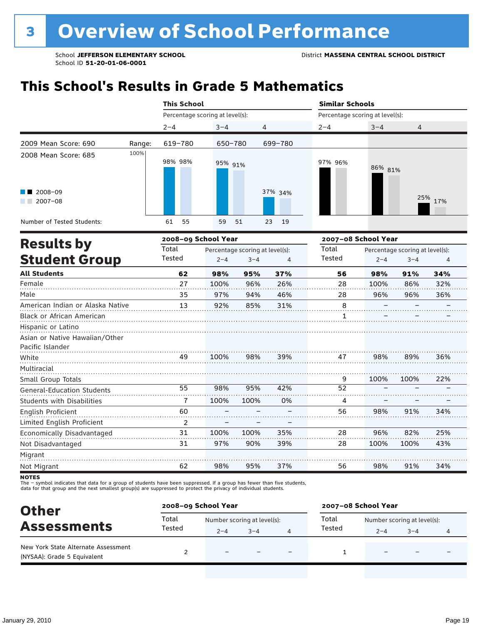# **This School's Results in Grade 5 Mathematics**

|                                   |        | <b>This School</b>              |            |          | <b>Similar Schools</b>          |         |         |  |  |
|-----------------------------------|--------|---------------------------------|------------|----------|---------------------------------|---------|---------|--|--|
|                                   |        | Percentage scoring at level(s): |            |          | Percentage scoring at level(s): |         |         |  |  |
|                                   |        | $2 - 4$                         | $3 - 4$    | 4        | $2 - 4$                         | $3 - 4$ | 4       |  |  |
| 2009 Mean Score: 690              | Range: | 619-780                         | 650-780    | 699-780  |                                 |         |         |  |  |
| 2008 Mean Score: 685              | 100%   | 98% 98%                         | 95% 91%    |          | 97% 96%                         | 86% 81% |         |  |  |
| $\blacksquare$ 2008-09<br>2007-08 |        |                                 |            | 37% 34%  |                                 |         | 25% 17% |  |  |
| Number of Tested Students:        |        | 55<br>61                        | 59<br>- 51 | 19<br>23 |                                 |         |         |  |  |

|                                   |        | 2008-09 School Year |                                 |     | 2007-08 School Year |         |                                 |     |  |
|-----------------------------------|--------|---------------------|---------------------------------|-----|---------------------|---------|---------------------------------|-----|--|
| <b>Results by</b>                 | Total  |                     | Percentage scoring at level(s): |     | Total               |         | Percentage scoring at level(s): |     |  |
| <b>Student Group</b>              | Tested | $2 - 4$             | $3 - 4$                         | 4   | Tested              | $2 - 4$ | $3 - 4$                         | 4   |  |
| <b>All Students</b>               | 62     | 98%                 | 95%                             | 37% | 56                  | 98%     | 91%                             | 34% |  |
| Female                            | 27     | 100%                | 96%                             | 26% | 28                  | 100%    | 86%                             | 32% |  |
| Male                              | 35     | 97%                 | 94%                             | 46% | 28                  | 96%     | 96%                             | 36% |  |
| American Indian or Alaska Native  | 13     | 92%                 | 85%                             | 31% | 8                   |         |                                 |     |  |
| <b>Black or African American</b>  |        |                     |                                 |     | 1                   |         |                                 |     |  |
| Hispanic or Latino                |        |                     |                                 |     |                     |         |                                 |     |  |
| Asian or Native Hawaiian/Other    |        |                     |                                 |     |                     |         |                                 |     |  |
| Pacific Islander                  |        |                     |                                 |     |                     |         |                                 |     |  |
| White                             | 49     | 100%                | 98%                             | 39% | 47                  | 98%     | 89%                             | 36% |  |
| Multiracial                       |        |                     |                                 |     |                     |         |                                 |     |  |
| Small Group Totals                |        |                     |                                 |     | 9                   | 100%    | 100%                            | 22% |  |
| <b>General-Education Students</b> | 55     | 98%                 | 95%                             | 42% | 52                  |         |                                 |     |  |
| <b>Students with Disabilities</b> | 7      | 100%                | 100%                            | 0%  | 4                   |         |                                 |     |  |
| English Proficient                | 60     |                     |                                 |     | 56                  | 98%     | 91%                             | 34% |  |
| Limited English Proficient        | 2      |                     |                                 |     |                     |         |                                 |     |  |
| Economically Disadvantaged        | 31     | 100%                | 100%                            | 35% | 28                  | 96%     | 82%                             | 25% |  |
| Not Disadvantaged                 | 31     | 97%                 | 90%                             | 39% | 28                  | 100%    | 100%                            | 43% |  |
| Migrant                           |        |                     |                                 |     |                     |         |                                 |     |  |
| Not Migrant                       | 62     | 98%                 | 95%                             | 37% | 56                  | 98%     | 91%                             | 34% |  |
|                                   |        |                     |                                 |     |                     |         |                                 |     |  |

NOTES<br>The – symbol indicates that data for a group of students have been suppressed. If a group has fewer than five students,<br>data for that group and the next smallest group(s) are suppressed to protect the privacy of indi

| <b>Other</b>                                                       | 2008-09 School Year |                             |         |                          | 2007-08 School Year |                             |                          |  |  |
|--------------------------------------------------------------------|---------------------|-----------------------------|---------|--------------------------|---------------------|-----------------------------|--------------------------|--|--|
|                                                                    | Total               | Number scoring at level(s): |         |                          | Total               | Number scoring at level(s): |                          |  |  |
| <b>Assessments</b>                                                 | Tested              | $2 - 4$                     | $3 - 4$ |                          | Tested              | $2 - 4$                     | $3 - 4$                  |  |  |
| New York State Alternate Assessment<br>(NYSAA): Grade 5 Equivalent |                     | $\overline{\phantom{0}}$    |         | $\overline{\phantom{0}}$ |                     | $\overline{\phantom{0}}$    | $\overline{\phantom{0}}$ |  |  |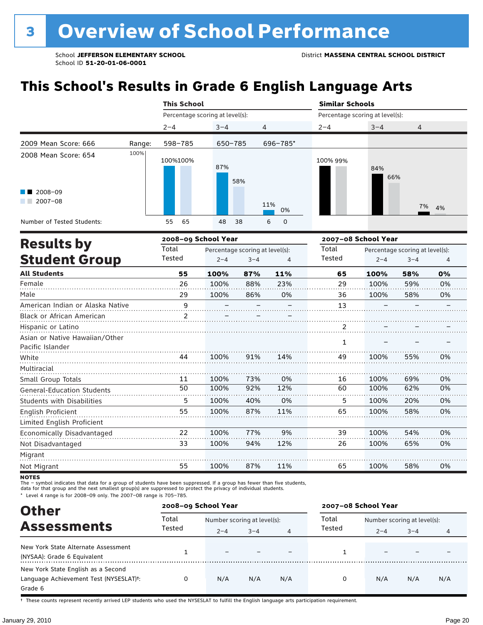# **This School's Results in Grade 6 English Language Arts**

|                                                                  |        | <b>This School</b>              |            |                     | <b>Similar Schools</b>          |                           |  |  |  |
|------------------------------------------------------------------|--------|---------------------------------|------------|---------------------|---------------------------------|---------------------------|--|--|--|
|                                                                  |        | Percentage scoring at level(s): |            |                     | Percentage scoring at level(s): |                           |  |  |  |
|                                                                  |        | $2 - 4$                         | $3 - 4$    | 4                   | $2 - 4$                         | $3 - 4$<br>$\overline{4}$ |  |  |  |
| 2009 Mean Score: 666                                             | Range: | 598-785                         | 650-785    | 696-785*            |                                 |                           |  |  |  |
| 2008 Mean Score: 654<br>$\blacksquare$ 2008-09<br>2007-08<br>- 1 | 100%   | 100%100%                        | 87%<br>58% | 11%<br>0%           | 100% 99%                        | 84%<br>66%<br>7% 4%       |  |  |  |
| Number of Tested Students:                                       |        | 65<br>55                        | 48<br>38   | 6<br>$\overline{0}$ |                                 |                           |  |  |  |

| <b>Results by</b>                 |                | 2008-09 School Year |                                 |     | 2007-08 School Year |         |                                 |    |  |
|-----------------------------------|----------------|---------------------|---------------------------------|-----|---------------------|---------|---------------------------------|----|--|
|                                   | Total          |                     | Percentage scoring at level(s): |     | Total               |         | Percentage scoring at level(s): |    |  |
| <b>Student Group</b>              | Tested         | $2 - 4$             | $3 - 4$                         | 4   | Tested              | $2 - 4$ | $3 - 4$                         | 4  |  |
| <b>All Students</b>               | 55             | 100%                | 87%                             | 11% | 65                  | 100%    | 58%                             | 0% |  |
| Female                            | 26             | 100%                | 88%                             | 23% | 29                  | 100%    | 59%                             | 0% |  |
| Male                              | 29             | 100%                | 86%                             | 0%  | 36                  | 100%    | 58%                             | 0% |  |
| American Indian or Alaska Native  | 9              |                     |                                 |     | 13                  |         |                                 |    |  |
| Black or African American         | $\overline{2}$ |                     |                                 |     |                     |         |                                 |    |  |
| Hispanic or Latino                |                |                     |                                 |     | 2                   |         |                                 |    |  |
| Asian or Native Hawaiian/Other    |                |                     |                                 |     | 1                   |         |                                 |    |  |
| Pacific Islander                  |                |                     |                                 |     |                     |         |                                 |    |  |
| White                             | 44             | 100%                | 91%                             | 14% | 49                  | 100%    | 55%                             | 0% |  |
| Multiracial                       |                |                     |                                 |     |                     |         |                                 |    |  |
| Small Group Totals                | 11             | 100%                | 73%                             | 0%  | 16                  | 100%    | 69%                             | 0% |  |
| <b>General-Education Students</b> | 50             | 100%                | 92%                             | 12% | 60                  | 100%    | 62%                             | 0% |  |
| <b>Students with Disabilities</b> | 5              | 100%                | 40%                             | 0%  | 5                   | 100%    | 20%                             | 0% |  |
| English Proficient                | 55             | 100%                | 87%                             | 11% | 65                  | 100%    | 58%                             | 0% |  |
| Limited English Proficient        |                |                     |                                 |     |                     |         |                                 |    |  |
| Economically Disadvantaged        | 22             | 100%                | 77%                             | 9%  | 39                  | 100%    | 54%                             | 0% |  |
| Not Disadvantaged                 | 33             | 100%                | 94%                             | 12% | 26                  | 100%    | 65%                             | 0% |  |
| Migrant                           |                |                     |                                 |     |                     |         |                                 |    |  |
| Not Migrant                       | 55             | 100%                | 87%                             | 11% | 65                  | 100%    | 58%                             | 0% |  |

**NOTES** 

The – symbol indicates that data for a group of students have been suppressed. If a group has fewer than five students,<br>data for that group and the next smallest group(s) are suppressed to protect the privacy of individual

\* Level 4 range is for 2008–09 only. The 2007–08 range is 705–785.

| <b>Other</b>                                                                                         | 2008-09 School Year |                             |         |                | 2007-08 School Year |                             |         |     |  |
|------------------------------------------------------------------------------------------------------|---------------------|-----------------------------|---------|----------------|---------------------|-----------------------------|---------|-----|--|
| <b>Assessments</b>                                                                                   | Total<br>Tested     | Number scoring at level(s): |         |                | Total               | Number scoring at level(s): |         |     |  |
|                                                                                                      |                     | $2 - 4$                     | $3 - 4$ | $\overline{4}$ | Tested              | $2 - 4$                     | $3 - 4$ | 4   |  |
| New York State Alternate Assessment<br>(NYSAA): Grade 6 Equivalent                                   |                     |                             |         |                |                     |                             |         |     |  |
| New York State English as a Second<br>Language Achievement Test (NYSESLAT) <sup>+</sup> :<br>Grade 6 |                     | N/A                         | N/A     | N/A            | 0                   | N/A                         | N/A     | N/A |  |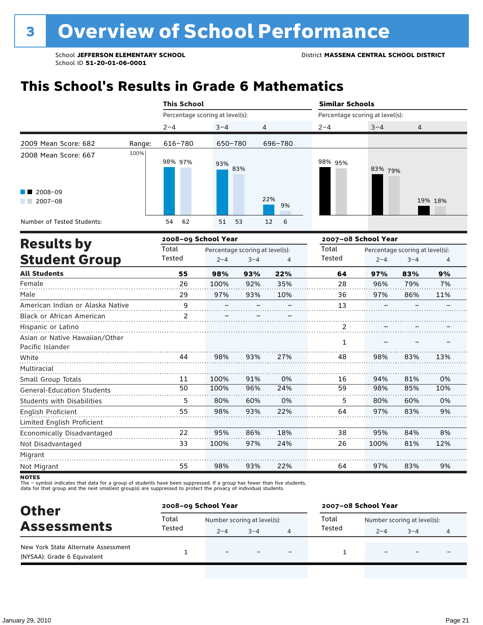# **This School's Results in Grade 6 Mathematics**

|                                               |        | <b>This School</b>              |            |           | <b>Similar Schools</b>          |         |         |  |  |
|-----------------------------------------------|--------|---------------------------------|------------|-----------|---------------------------------|---------|---------|--|--|
|                                               |        | Percentage scoring at level(s): |            |           | Percentage scoring at level(s): |         |         |  |  |
|                                               |        | $2 - 4$                         | $3 - 4$    | 4         | $2 - 4$                         | $3 - 4$ | 4       |  |  |
| 2009 Mean Score: 682                          | Range: | 616-780                         | 650-780    | 696-780   |                                 |         |         |  |  |
| 2008 Mean Score: 667                          | 100%   | 98% 97%                         | 93%<br>83% |           | 98% 95%                         | 83% 79% |         |  |  |
| $\blacksquare$ 2008-09<br>$2007 - 08$<br>a ka |        |                                 |            | 22%<br>9% |                                 |         | 19% 18% |  |  |
| Number of Tested Students:                    |        | 62<br>54                        | 51<br>53   | 6<br>12   |                                 |         |         |  |  |

|                                                    |                | 2008-09 School Year |                                 |     | 2007-08 School Year |         |                                 |     |  |
|----------------------------------------------------|----------------|---------------------|---------------------------------|-----|---------------------|---------|---------------------------------|-----|--|
| <b>Results by</b>                                  | Total          |                     | Percentage scoring at level(s): |     | Total               |         | Percentage scoring at level(s): |     |  |
| <b>Student Group</b>                               | Tested         | $2 - 4$             | $3 - 4$                         | 4   | Tested              | $2 - 4$ | $3 - 4$                         | 4   |  |
| <b>All Students</b>                                | 55             | 98%                 | 93%                             | 22% | 64                  | 97%     | 83%                             | 9%  |  |
| Female                                             | 26             | 100%                | 92%                             | 35% | 28                  | 96%     | 79%                             | 7%  |  |
| Male                                               | 29             | 97%                 | 93%                             | 10% | 36                  | 97%     | 86%                             | 11% |  |
| American Indian or Alaska Native                   | 9              |                     |                                 |     | 13                  |         |                                 |     |  |
| Black or African American                          | $\overline{2}$ |                     |                                 |     |                     |         |                                 |     |  |
| Hispanic or Latino                                 |                |                     |                                 |     | 2                   |         |                                 |     |  |
| Asian or Native Hawaiian/Other<br>Pacific Islander |                |                     |                                 |     | 1                   |         |                                 |     |  |
| White                                              | 44             | 98%                 | 93%                             | 27% | 48                  | 98%     | 83%                             | 13% |  |
| Multiracial                                        |                |                     |                                 |     |                     |         |                                 |     |  |
| Small Group Totals                                 | 11             | 100%                | 91%                             | 0%  | 16                  | 94%     | 81%                             | 0%  |  |
| <b>General-Education Students</b>                  | 50             | 100%                | 96%                             | 24% | 59                  | 98%     | 85%                             | 10% |  |
| <b>Students with Disabilities</b>                  | 5              | 80%                 | 60%                             | 0%  | 5                   | 80%     | 60%                             | 0%  |  |
| English Proficient                                 | 55             | 98%                 | 93%                             | 22% | 64                  | 97%     | 83%                             | 9%  |  |
| Limited English Proficient                         |                |                     |                                 |     |                     |         |                                 |     |  |
| Economically Disadvantaged                         | 22             | 95%                 | 86%                             | 18% | 38                  | 95%     | 84%                             | 8%  |  |
| Not Disadvantaged                                  | 33             | 100%                | 97%                             | 24% | 26                  | 100%    | 81%                             | 12% |  |
| Migrant                                            |                |                     |                                 |     |                     |         |                                 |     |  |
| Not Migrant                                        | 55             | 98%                 | 93%                             | 22% | 64                  | 97%     | 83%                             | 9%  |  |

**NOTES** 

The – symbol indicates that data for a group of students have been suppressed. If a group has fewer than five students,<br>data for that group and the next smallest group(s) are suppressed to protect the privacy of individual

| <b>Other</b>                                                       | 2008-09 School Year |                             |         |   | 2007-08 School Year |                             |         |   |  |
|--------------------------------------------------------------------|---------------------|-----------------------------|---------|---|---------------------|-----------------------------|---------|---|--|
|                                                                    | Total<br>Tested     | Number scoring at level(s): |         |   | Total               | Number scoring at level(s): |         |   |  |
| <b>Assessments</b>                                                 |                     | $2 - 4$                     | $3 - 4$ | 4 | Tested              | $2 - 4$                     | $3 - 4$ | 4 |  |
| New York State Alternate Assessment<br>(NYSAA): Grade 6 Equivalent |                     |                             |         |   |                     |                             | -       |   |  |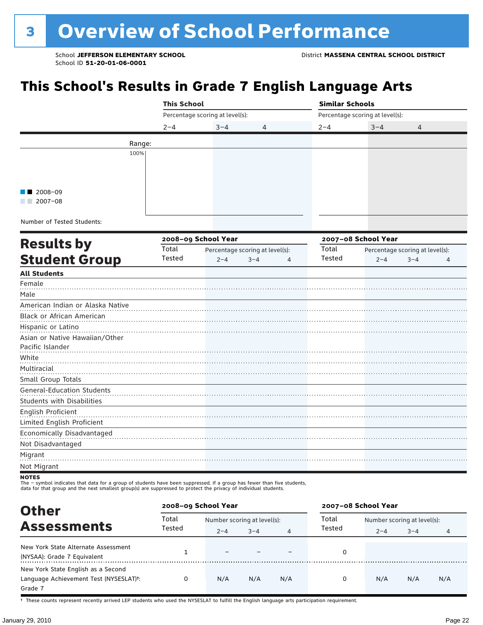# **This School's Results in Grade 7 English Language Arts**

|                                                                                                                                         | <b>This School</b> |                                 |                                 | <b>Similar Schools</b> |                                 |                                 |  |  |  |
|-----------------------------------------------------------------------------------------------------------------------------------------|--------------------|---------------------------------|---------------------------------|------------------------|---------------------------------|---------------------------------|--|--|--|
|                                                                                                                                         |                    | Percentage scoring at level(s): |                                 |                        | Percentage scoring at level(s): |                                 |  |  |  |
|                                                                                                                                         | $2 - 4$            | $3 - 4$                         | 4                               | $2 - 4$                | $3 - 4$                         | 4                               |  |  |  |
| Range:                                                                                                                                  |                    |                                 |                                 |                        |                                 |                                 |  |  |  |
| 100%                                                                                                                                    |                    |                                 |                                 |                        |                                 |                                 |  |  |  |
|                                                                                                                                         |                    |                                 |                                 |                        |                                 |                                 |  |  |  |
|                                                                                                                                         |                    |                                 |                                 |                        |                                 |                                 |  |  |  |
| 2008-09                                                                                                                                 |                    |                                 |                                 |                        |                                 |                                 |  |  |  |
| $\blacksquare$ 2007-08                                                                                                                  |                    |                                 |                                 |                        |                                 |                                 |  |  |  |
|                                                                                                                                         |                    |                                 |                                 |                        |                                 |                                 |  |  |  |
| Number of Tested Students:                                                                                                              |                    |                                 |                                 |                        |                                 |                                 |  |  |  |
|                                                                                                                                         |                    | 2008-09 School Year             |                                 |                        | 2007-08 School Year             |                                 |  |  |  |
| <b>Results by</b>                                                                                                                       | Total              |                                 | Percentage scoring at level(s): | Total                  |                                 | Percentage scoring at level(s): |  |  |  |
| <b>Student Group</b>                                                                                                                    | Tested             | $2 - 4$                         | $3 - 4$<br>$\overline{4}$       | Tested                 | $2 - 4$                         | $3 - 4$<br>4                    |  |  |  |
| <b>All Students</b>                                                                                                                     |                    |                                 |                                 |                        |                                 |                                 |  |  |  |
| Female                                                                                                                                  |                    |                                 |                                 |                        |                                 |                                 |  |  |  |
| Male                                                                                                                                    |                    |                                 |                                 |                        |                                 |                                 |  |  |  |
| American Indian or Alaska Native                                                                                                        |                    |                                 |                                 |                        |                                 |                                 |  |  |  |
| Black or African American                                                                                                               |                    |                                 |                                 |                        |                                 |                                 |  |  |  |
| Hispanic or Latino                                                                                                                      |                    |                                 |                                 |                        |                                 |                                 |  |  |  |
| Asian or Native Hawaiian/Other                                                                                                          |                    |                                 |                                 |                        |                                 |                                 |  |  |  |
| Pacific Islander                                                                                                                        |                    |                                 |                                 |                        |                                 |                                 |  |  |  |
| White                                                                                                                                   |                    |                                 |                                 |                        |                                 |                                 |  |  |  |
| Multiracial                                                                                                                             |                    |                                 |                                 |                        |                                 |                                 |  |  |  |
| Small Group Totals                                                                                                                      |                    |                                 |                                 |                        |                                 |                                 |  |  |  |
| <b>General-Education Students</b>                                                                                                       |                    |                                 |                                 |                        |                                 |                                 |  |  |  |
| <b>Students with Disabilities</b>                                                                                                       |                    |                                 |                                 |                        |                                 |                                 |  |  |  |
| English Proficient                                                                                                                      |                    |                                 |                                 |                        |                                 |                                 |  |  |  |
| Limited English Proficient                                                                                                              |                    |                                 |                                 |                        |                                 |                                 |  |  |  |
| Economically Disadvantaged                                                                                                              |                    |                                 |                                 |                        |                                 |                                 |  |  |  |
| Not Disadvantaged                                                                                                                       |                    |                                 |                                 |                        |                                 |                                 |  |  |  |
| Migrant                                                                                                                                 |                    |                                 |                                 |                        |                                 |                                 |  |  |  |
| Not Migrant                                                                                                                             |                    |                                 |                                 |                        |                                 |                                 |  |  |  |
| <b>NOTES</b><br>The - symbol indicates that data for a group of students have been suppressed. If a group has fewer than five students, |                    |                                 |                                 |                        |                                 |                                 |  |  |  |

data for that group and the next smallest group(s) are suppressed to protect the privacy of individual students.

| <b>Other</b>                                                                                         | 2008-09 School Year |                             |         |     | 2007-08 School Year |                             |         |     |  |
|------------------------------------------------------------------------------------------------------|---------------------|-----------------------------|---------|-----|---------------------|-----------------------------|---------|-----|--|
|                                                                                                      | Total<br>Tested     | Number scoring at level(s): |         |     | Total               | Number scoring at level(s): |         |     |  |
| <b>Assessments</b>                                                                                   |                     | $2 - 4$                     | $3 - 4$ | 4   | Tested              | $2 - 4$                     | $3 - 4$ | 4   |  |
| New York State Alternate Assessment<br>(NYSAA): Grade 7 Equivalent                                   |                     |                             |         |     |                     |                             |         |     |  |
| New York State English as a Second<br>Language Achievement Test (NYSESLAT) <sup>+</sup> :<br>Grade 7 | 0                   | N/A                         | N/A     | N/A | 0                   | N/A                         | N/A     | N/A |  |